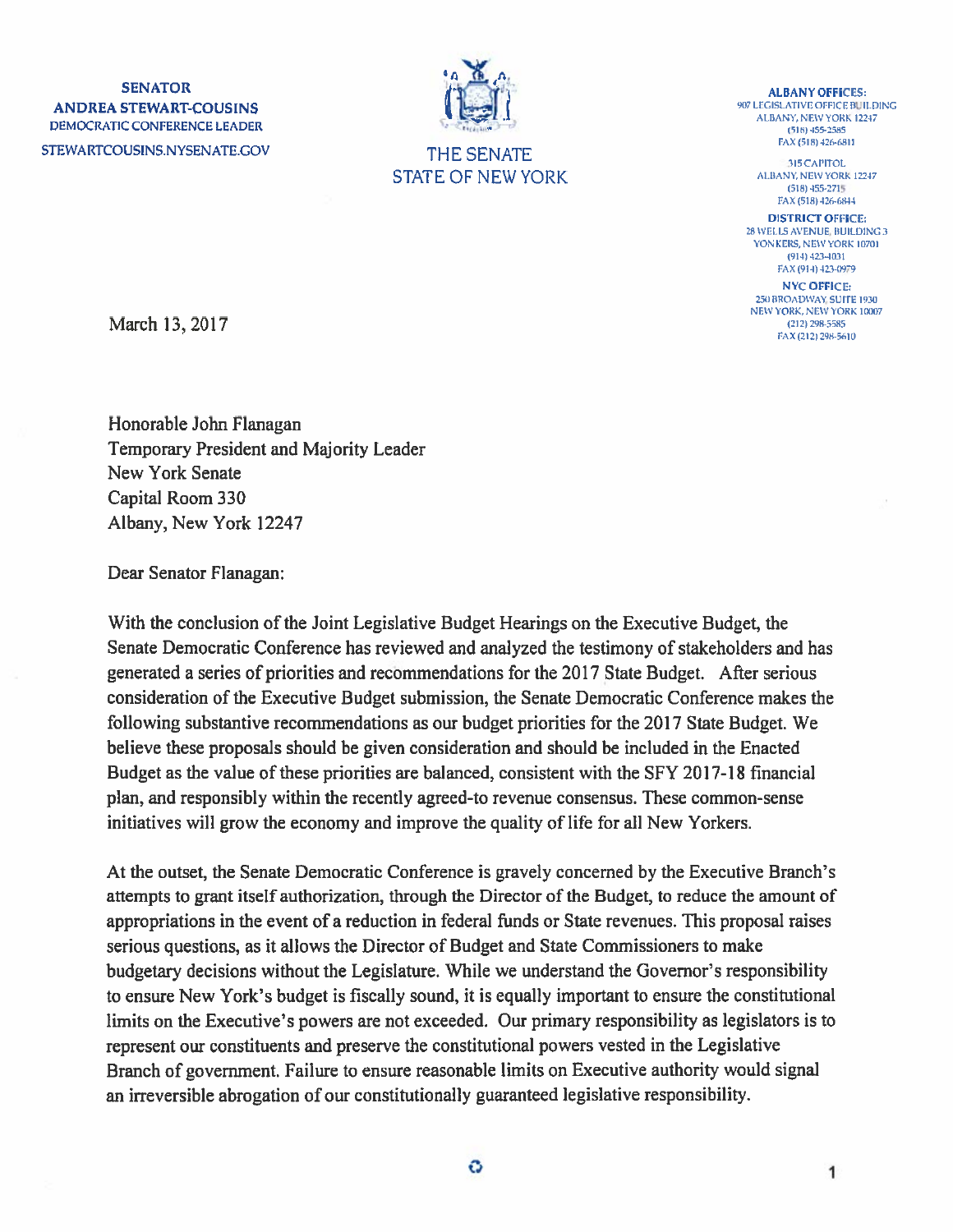$\mathbf{N}$  albany of  $\mathbf{N}$  and  $\mathbf{N}$  and  $\mathbf{N}$  and  $\mathbf{N}$  albany of  $\mathbf{N}$ ANDREA STEWART-COUSINS <sup>907</sup>LEGISLATIVE OFFICE BUILDING<br>DEMOCRATIC CONFERENCE LEADER<br>FAX (518) 435-2585<br>FAX (518) 426-6811 STEWARTCOUSINS.NYSENATE.GOV THE SENATE FAX 018/26/2010



STATE OF NEW YORK ALBANY, NEW YORK 12247

(518) 455-2715 FAX (518) 426-6844

DISTRICT OFFICE: 28 WELLSAVENUE, BUILDING 3 YONKERS, NEW YORK 10701 (914) 423-4031 FAX (914) 423-0979 NYC OFFICE:

25)) BROADWAY, SUITE 1930 NEW YORK, NEW YORK 10007<br>(212) 298-5585 FAX (212) 298-5610

March 13, 2017

Honorable John Flanagan Temporary President and Majority Leader New York Senate Capital Room 330 Albany, New York 12247

Dear Senator Flanagan:

With the conclusion of the Joint Legislative Budget Hearings on the Executive Budget, the Senate Democratic Conference has reviewed and analyzed the testimony of stakeholders and has generated <sup>a</sup> series of priorities and recommendations for the 2017 State Budget. After serious consideration of the Executive Budget submission, the Senate Democratic Conference makes the following substantive recommendations as our budget priorities for the 2017 State Budget. We believe these proposals should be given consideration and should be included in the Enacted Budget as the value of these priorities are balanced, consistent with the SFY 2017-18 financial plan, and responsibly within the recently agreed-to revenue consensus. These common-sense initiatives will grow the economy and improve the quality of life for all New Yorkers.

At the outset, the Senate Democratic Conference is gravely concerned by the Executive Branch's attempts to gran<sup>t</sup> itself authorization, through the Director of the Budget, to reduce the amount of appropriations in the event of a reduction in federal funds or State revenues. This proposal raises serious questions, as it allows the Director of Budget and State Commissioners to make budgetary decisions without the Legislature. While we understand the Governor's responsibility to ensure New York's budget is fiscally sound, it is equally important to ensure the constitutional limits on the Executive's powers are not exceeded. Our primary responsibility as legislators is to represen<sup>t</sup> our constituents and preserve the constitutional powers vested in the Legislative Branch of government. Failure to ensure reasonable limits on Executive authority would signal an irreversible abrogation of our constitutionally guaranteed legislative responsibility.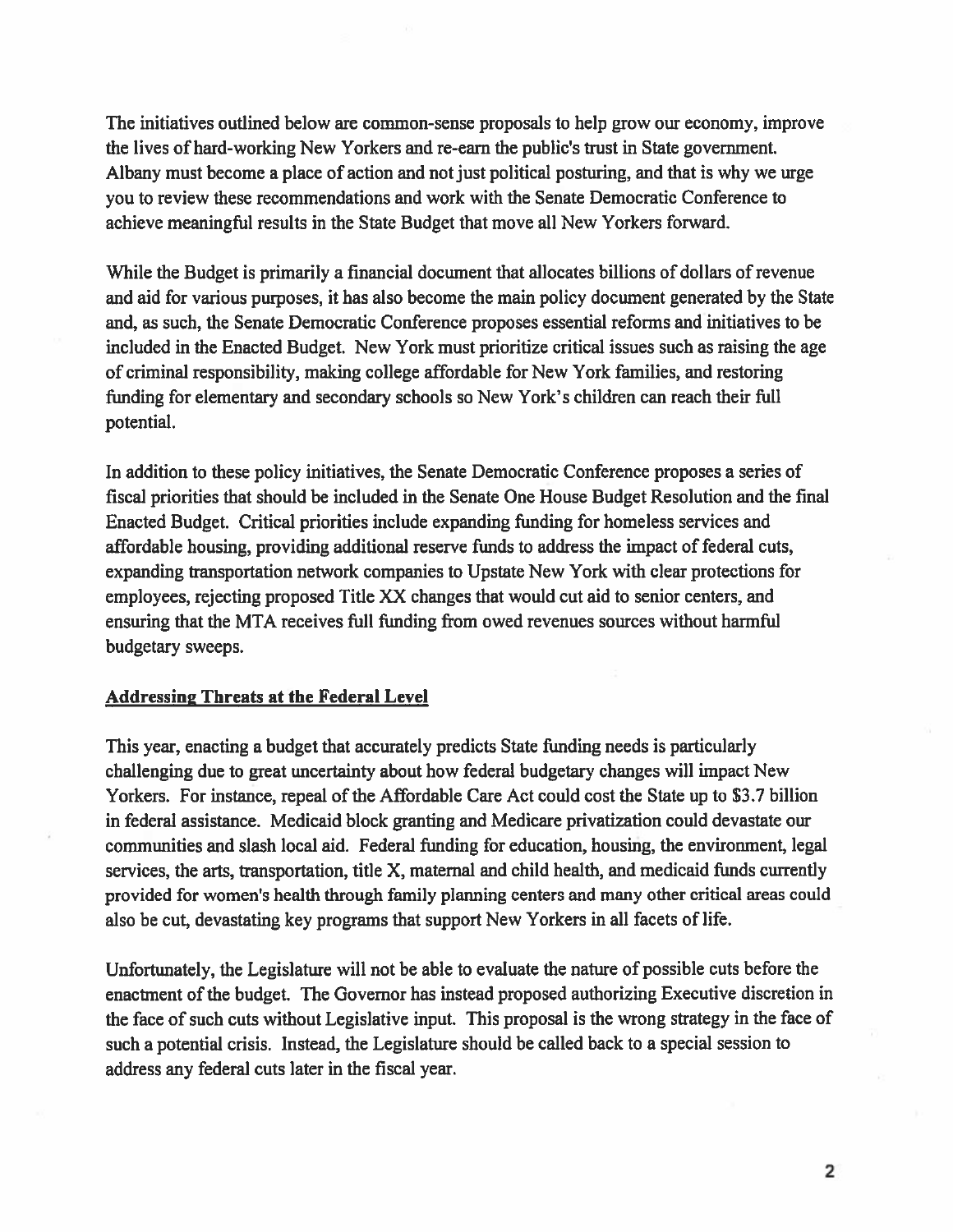The initiatives outlined below are common-sense proposals to help grow our economy, improve the lives of hard-working New Yorkers and re-earn the public's trust in State government. Albany must become <sup>a</sup> place of action and not just political posturing, and that is why we urge you to review these recommendations and work with the Senate Democratic Conference to achieve meaningful results in the State Budget that move all New Yorkers forward.

While the Budget is primarily <sup>a</sup> financial document that allocates billions of dollars of revenue and aid for various purposes, it has also become the main policy document generated by the State and, as such, the Senate Democratic Conference proposes essential reforms and initiatives to be included in the Enacted Budget. New York must prioritize critical issues such as raising the age of criminal responsibility, making college affordable for New York families, and restoring funding for elementary and secondary schools so New York's children can reach their full potential.

In addition to these policy initiatives, the Senate Democratic Conference proposes <sup>a</sup> series of fiscal priorities that should be included in the Senate One House Budget Resolution and the final Enacted Budget. Critical priorities include expanding funding for homeless services and affordable housing, providing additional reserve funds to address the impact of federal cuts, expanding transportation network companies to Upstate New York with clear protections for employees, rejecting proposed Title XX changes that would cut aid to senior centers, and ensuring that the MTA receives full funding from owed revenues sources without harmful budgetary sweeps.

#### Addressing Threats at the Federal Level

This year, enacting <sup>a</sup> budget that accurately predicts State funding needs is particularly challenging due to grea<sup>t</sup> uncertainty about how federal budgetary changes will impact New Yorkers. For instance, repeal of the Affordable Care Act could cost the State up to S3.7 billion in federal assistance. Medicaid block granting and Medicare privatizafion could devastate our communities and slash local aid. Federal funding for education, housing, the environment, legal services, the arts, transportation, title X, maternal and child health, and medicaid funds currently provided for women's health through family planning centers and many other critical areas could also be cut, devastating key programs that suppor<sup>t</sup> New Yorkers in all facets of life.

Unfortunately, the Legislature will not be able to evaluate the nature of possible cuts before the enactment of the budget. The Governor has instead proposed authorizing Executive discretion in the face of such cuts without Legislative input. This proposa<sup>l</sup> is the wrong strategy in the face of such <sup>a</sup> potential crisis. Instead, the Legislature should be called back to <sup>a</sup> special session to address any federal cuts later in the fiscal year.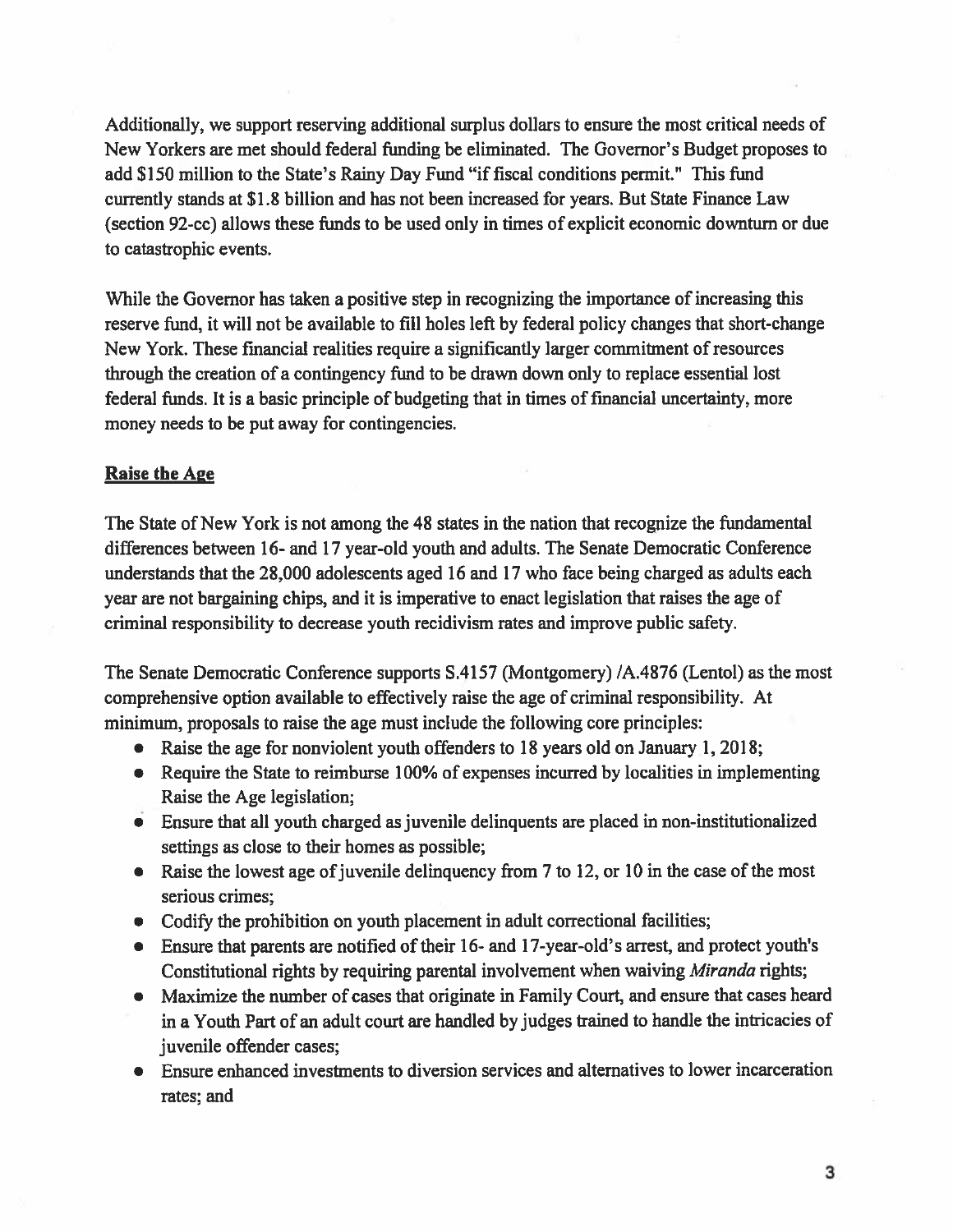Additionally, we suppor<sup>t</sup> reserving additional surplus dollars to ensure the most critical needs of New Yorkers are met should federal funding be eliminated. The Governor's Budget proposes to add \$150 million to the State's Rainy Day Fund "if fiscal conditions permit." This fund currently stands at \$1.8 billion and has not been increased for years. But State Finance Law (section 92-cc) allows these funds to be used only in times of explicit economic downturn or due to catastrophic events.

While the Governor has taken <sup>a</sup> positive step in recognizing the importance of increasing this reserve fund, it will not be available to fill holes left by federal policy changes that short-change New York. These financial realities require <sup>a</sup> significantly larger commitment ofresources through the creation of <sup>a</sup> contingency fund to be drawn down only to replace essential lost federal funds. It is a basic principle of budgeting that in times of financial uncertainty, more money needs to be pu<sup>t</sup> away for contingencies.

#### **Raise the Age**

The State of New York is not among the 48 states in the nation that recognize the fundamental differences between 16- and 17 year-old youth and adults. The Senate Democratic Conference understands that the 28,000 adolescents aged 16 and 17 who face being charged as adults each year are not bargaining chips, and it is imperative to enact legislation that raises the age of criminal responsibility to decrease youth recidivism rates and improve public safety.

The Senate Democratic Conference supports S.4157 (Montgomery) /A.4876 (Lentol) as the most comprehensive option available to effectively raise the age of criminal responsibility. At minimum, proposals to raise the age must include the following core principles:

- Raise the age for nonviolent youth offenders to 18 years old on January 1, 2018;
- Require the State to reimburse 100% of expenses incurred by localities in implementing Raise the Age legislation;
- Ensure that all youth charged as juvenile delinquents are placed in non-institutionalized settings as close to their homes as possible;
- Raise the lowest age of juvenile delinquency from 7 to 12, or 10 in the case of the most serious crimes;
- Codify the prohibition on youth placement in adult correctional facilities;
- Ensure that parents are notified of their 16- and 17-year-old's arrest, and protect youth's Constitutional rights by requiring parental involvement when waiving Miranda rights;
- Maximize the number of cases that originate in Family Court, and ensure that cases heard in <sup>a</sup> Youth Part of an adult court are handled by judges trained to handle the intricacies of juvenile offender cases;
- Ensure enhanced investments to diversion services and alternatives to lower incarceration rates; and

3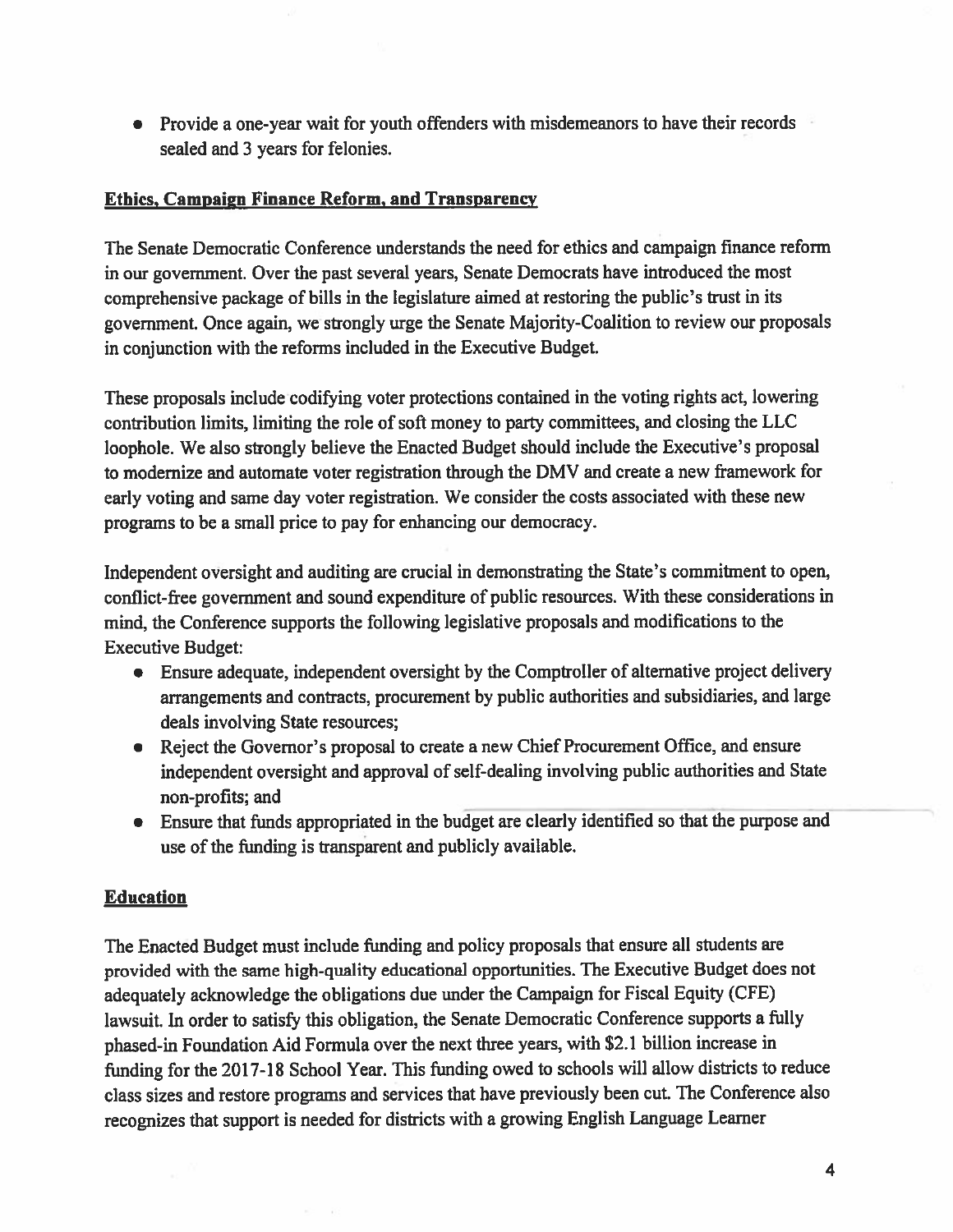• Provide a one-year wait for youth offenders with misdemeanors to have their records sealed and 3 years for felonies.

## Ethics, Campaign Finance Reform, and Transparency

The Senate Democratic Conference understands the need for ethics and campaign finance reform in our government. Over the pas<sup>t</sup> several years, Senate Democrats have introduced the most comprehensive package of bills in the legislature aimed at restoring the public's trust in its government. Once again, we strongly urge the Senate Majority-Coalition to review our proposals in conjunction with the reforms included in the Executive Budget.

These proposals include codifying voter protections contained in the voting rights act, lowering contribution limits, limiting the role of soft money to party committees, and closing the LLC loophole. We also strongly believe the Enacted Budget should include the Executive's proposa<sup>l</sup> to modernize and automate voter registration through the DMV and create <sup>a</sup> new framework for early voting and same day voter registration. We consider the costs associated with these new programs to be <sup>a</sup> small price to pay for enhancing our democracy.

Independent oversight and auditing are crucial in demonstrating the State's commitment to open, conflict-free governmen<sup>t</sup> and sound expenditure of public resources. With these considerations in mind, the Conference supports the following legislative proposals and modifications to the Executive Budget:

- Ensure adequate, independent oversight by the Comptroller of alternative project delivery arrangements and contracts, procuremen<sup>t</sup> by public authorities and subsidiaries, and large deals involving State resources;
- Reject the Governor's proposa<sup>l</sup> to create <sup>a</sup> new Chief Procurement Office, and ensure independent oversight and approva<sup>l</sup> of self-dealing involving public authorities and State non-profits; and
- Ensure that funds appropriated in the budget are clearly identified so that the purpose and use of the funding is transparent and publicly available.

# **Education**

The Enacted Budget must include funding and policy proposals that ensure all students are provided with the same high-quality educational opportunities. The Executive Budget does not adequately acknowledge the obligations due under the Campaign for Fiscal Equity (CFE) lawsuit. In order to satisfy this obligation, the Senate Democratic Conference supports <sup>a</sup> hilly <sup>p</sup>hased-in Foundation Aid Formula over the next three years, with \$2.1 billion increase in funding for the 2017-18 School Year. This funding owed to schools will allow districts to reduce class sizes and restore programs and services that have previously been cut. The Conference also recognizes that suppor<sup>t</sup> is needed for districts with <sup>a</sup> growing English Language Learner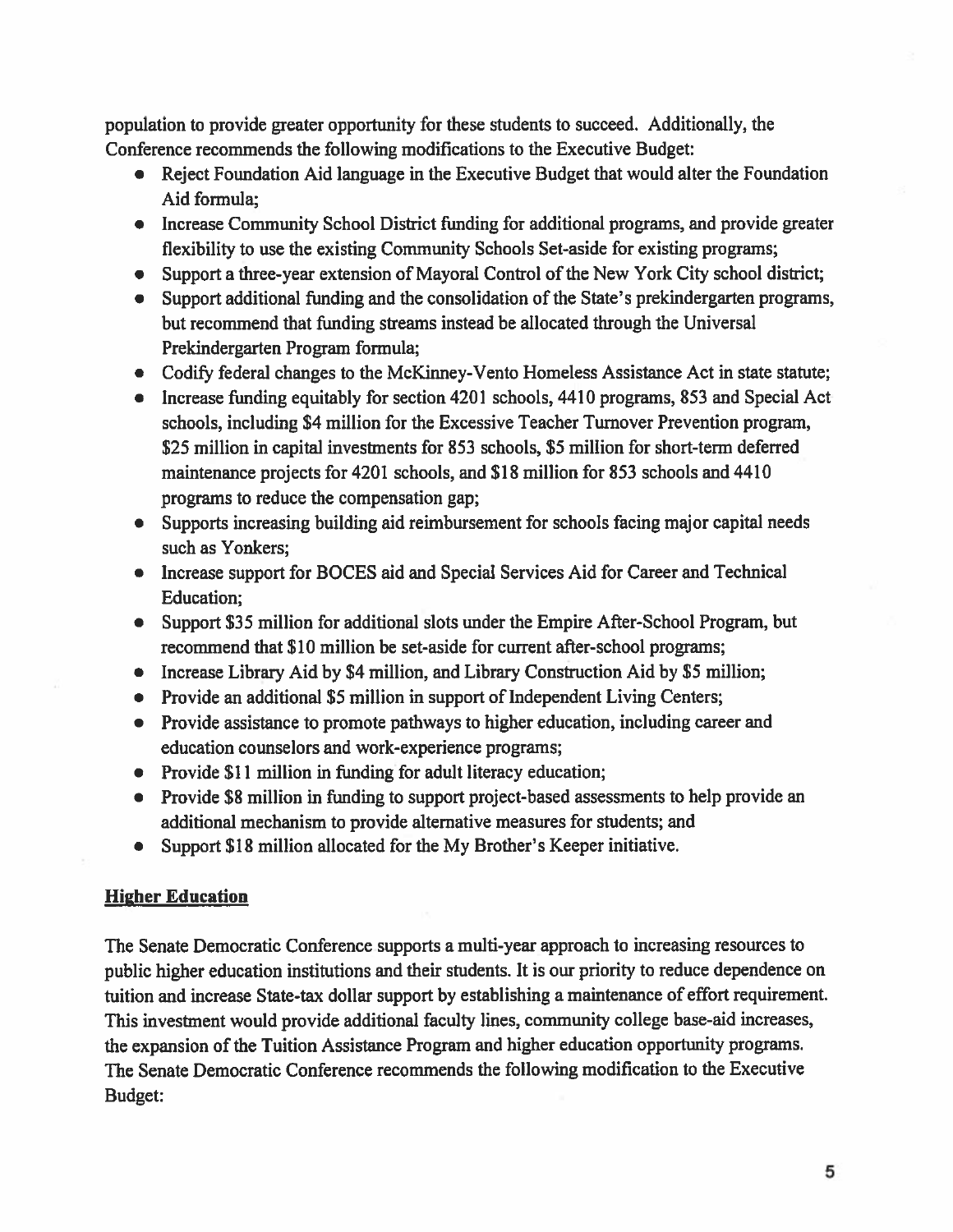population to provide greater opportunity for these students to succeed. Additionally, the Conference recommends the following modifications to the Executive Budget:

- Reject Foundation Aid language in the Executive Budget that would alter the Foundation Aid formula;
- Increase Community School District funding for additional programs, and provide greater flexibility to use the existing Community Schools Set-aside for existing programs;
- Support a three-year extension of Mayoral Control of the New York City school district;
- Support additional funding and the consolidation of the State's prekindergarten programs, but recommend that funding streams instead be allocated through the Universal Prekindergarten Program formula;
- Codify federal changes to the McKinney-Vento Homeless Assistance Act in state statute;
- Increase funding equitably for section 4201 schools, 4410 programs, 853 and Special Act schools, including \$4 million for the Excessive Teacher Turnover Prevention program, \$25 million in capital investments for 853 schools, \$5 million for short-term deferred maintenance projects for 4201 schools, and \$18 million for 853 schools and 4410 programs to reduce the compensation gap;
- Supports increasing building aid reimbursement for schools facing major capital needs such as Yonkers;
- Increase suppor<sup>t</sup> for BOCES aid and Special Services Aid for Career and Technical Education;
- Support \$35 million for additional slots under the Empire After-School Program, but recommend that \$10 million be set-aside for current after-school programs;
- Increase Library Aid by \$4 million, and Library Construction Aid by \$5 million;
- Provide an additional \$5 million in support of Independent Living Centers;
- Provide assistance to promote pathways to higher education, including career and education counselors and work-experience programs;
- Provide \$11 million in funding for adult literacy education;
- Provide \$8 million in funding to suppor<sup>t</sup> project-based assessments to help provide an additional mechanism to provide alternative measures for students; and
- $\bullet$ Support \$18 million allocated for the My Brother's Keeper initiative.

### **Higher Education**

The Senate Democratic Conference supports <sup>a</sup> multi-year approach to increasing resources to public higher education institutions and their students. It is our priority to reduce dependence on tuition and increase State-tax dollar suppor<sup>t</sup> by establishing <sup>a</sup> maintenance of effort requirement. This investment would provide additional faculty lines, community college base-aid increases, the expansion of the Tuition Assistance Program and higher education opportunity programs. The Senate Democratic Conference recommends the following modification to the Executive Budget: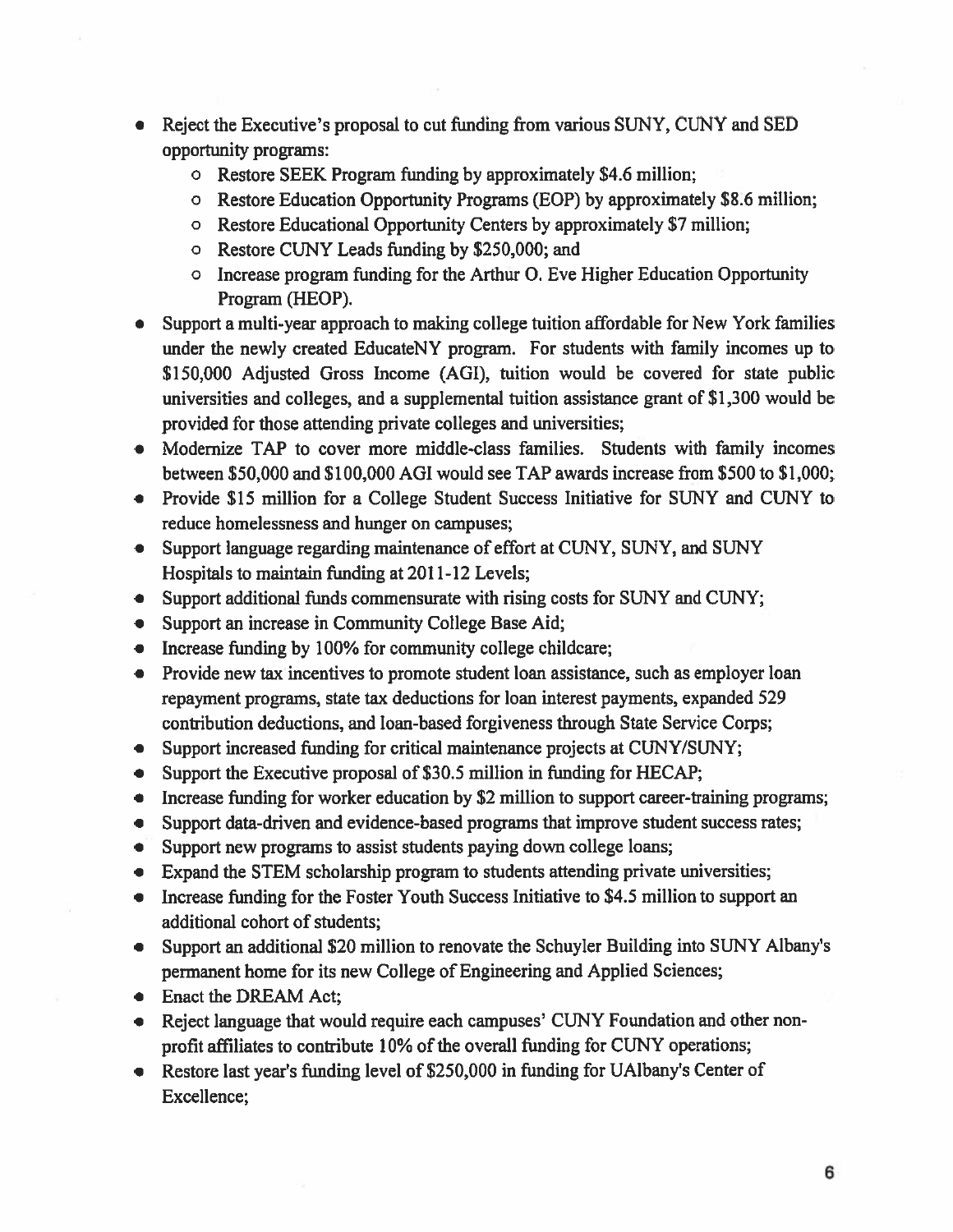- $\bullet$ Reject the Executive's proposal to cut funding from various SUNY, CUNY and SED opportunity programs:
	- <sup>o</sup> Restore SEEK Program funding by approximately \$4.6 million;
	- <sup>o</sup> Restore Education Opportunity Programs (EOP) by approximately \$8.6 million;
	- <sup>o</sup> Restore Educational Opportunity Centers by approximately \$7 million;
	- <sup>o</sup> Restore CUNY Leads funding by \$250,000; and
	- <sup>o</sup> Increase program funding for the Arthur 0. Eve Higher Education Opportunity Program (HEOP).
- Support <sup>a</sup> multi-year approach to making college tuition affordable for New York families under the newly created EducateNY program. For students with family incomes up to \$150,000 Adjusted Gross Income (AGI), tuition would be covered for state public universities and colleges, and <sup>a</sup> supplemental tuition assistance gran<sup>t</sup> of \$1,300 would be provided for those attending private colleges and universities;
- Modernize TAP to cover more middle-class families. Students with family incomes between \$50,000 and \$100,000 AGI would see TAP awards increase from \$500 to \$1,000;
- Provide \$15 million for <sup>a</sup> College Student Success Initiative for SUNY and CUNY to reduce homelessness and hunger on campuses;
- Support language regarding maintenance of effort at CUNY, SUNY, and SUNY Hospitals to maintain funding at 2011-12 Levels;
- Support additional funds commensurate with rising costs for SUNY and CUNY;
- Support an increase in Community College Base Aid;
- Increase funding by 100% for community college childcare;
- Provide new tax incentives to promote student loan assistance, such as employer loan repaymen<sup>t</sup> programs, state tax deductions for loan interest payments, expanded 529 contribution deductions, and loan-based forgiveness through State Service Corps;
- Support increased funding for critical maintenance projects at CUNY/SUNY;
- Support the Executive proposal of \$30.5 million in funding for HECAP;
- Increase funding for worker education by \$2 million to support career-training programs;
- Support data-driven and evidence-based programs that improve student success rates;
- Support new programs to assist students paying down college loans;
- Expand the STEM scholarship program to students attending private universities;
- Increase funding for the Foster Youth Success Initiative to \$4.5 million to support an additional cohort of students;
- Support an additional \$20 million to renovate the Schuyler Building into SUNY Albany's permanen<sup>t</sup> home for its new College of Engineering and Applied Sciences;
- Enact the DREAM Act;
- Reject language that would require each campuses' CUNY Foundation and other nonprofit affiliates to contribute 10% of the overall funding for CUNY operations;
- Restore last year's funding level of \$250,000 in funding for UAlbany's Center of Excellence;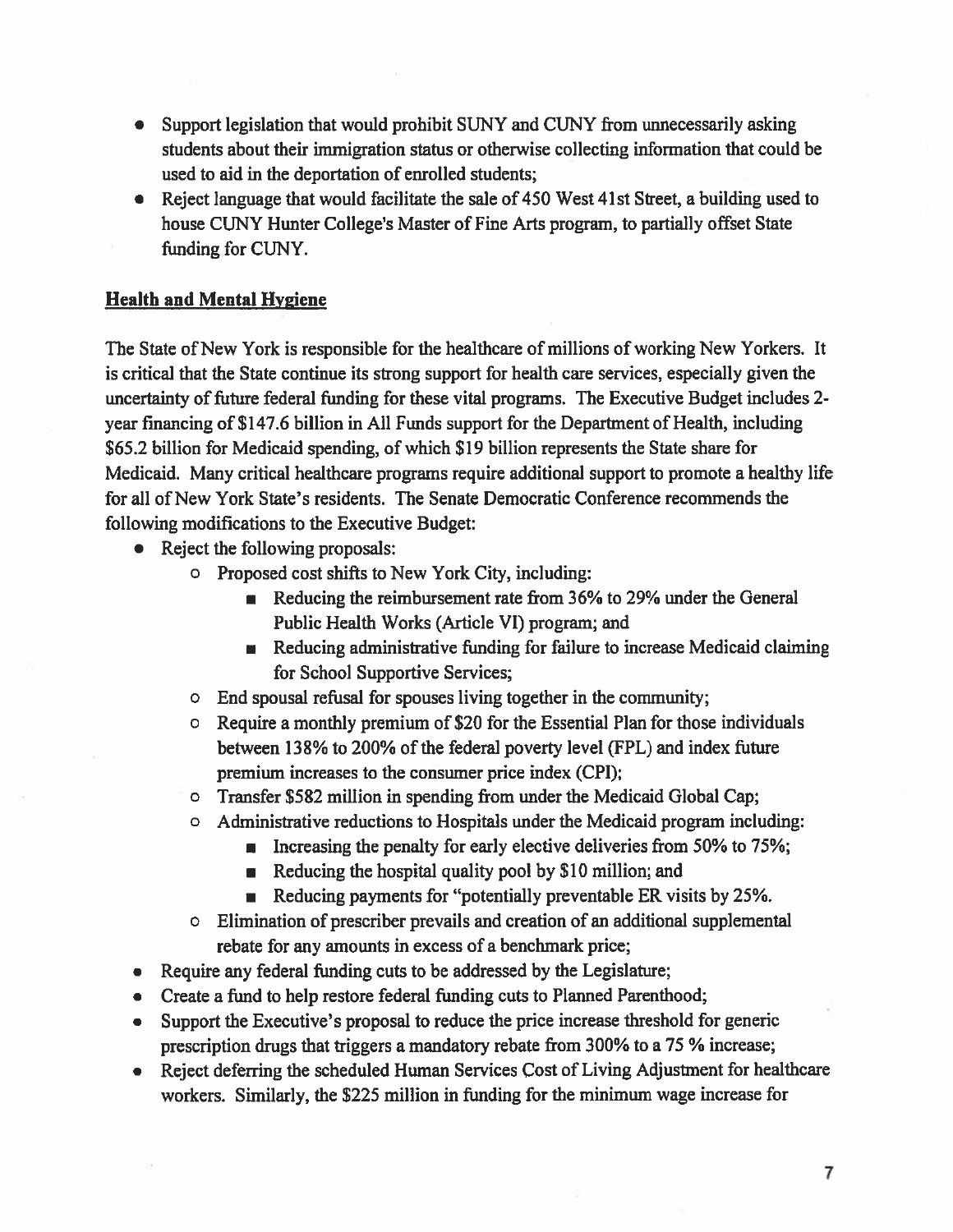- $\bullet$  Support legislation that would prohibit SUNY and CUNY from unnecessarily asking students about their immigration status or otherwise collecting information that could be used to aid in the deportation of enrolled students;
- Reject language that would facilitate the sale of 450 West 41st Street, a building used to house CUNY Hunter College's Master of Fine Arts program, to partially offset State funding for CUNY.

### Health and Mental Hygiene

The State of New York is responsible for the healthcare of millions of working New Yorkers. It is critical that the State continue its strong suppor<sup>t</sup> for health care services, especially given the uncertainty of future federal funding for these vital programs. The Executive Budget includes 2 year financing of \$147.6 billion in All Funds suppor<sup>t</sup> for the Department of Health, including \$65.2 billion for Medicaid spending, of which \$19 billion represents the State share for Medicaid. Many critical healthcare programs require additional suppor<sup>t</sup> to promote <sup>a</sup> healthy life for all of New York State's residents. The Senate Democratic Conference recommends the following modifications to the Executive Budget:

- Reject the following proposals:
	- <sup>o</sup> Proposed cost shifts to New York City, including:
		- Reducing the reimbursement rate from 36% to 29% under the General Public Health Works (Article VI) program; and
		- Reducing administrative funding for failure to increase Medicaid claiming for School Supportive Services;
	- <sup>o</sup> End spousal refusal for spouses living together in the community;
	- <sup>o</sup> Require <sup>a</sup> monthly premium of \$20 for the Essential Plan for those individuals between 138% to 200% of the federal poverty level (FPL) and index future premium increases to the consumer price index (CPI);
	- <sup>o</sup> Transfer \$582 million in spending from under the Medicaid Global Cap;
	- <sup>o</sup> Administrative reductions to Hospitals under the Medicaid program including:
		- **Increasing the penalty for early elective deliveries from 50% to 75%**;
		- Reducing the hospital quality pool by \$10 million; and
		- **Reducing payments for "potentially preventable ER visits by 25%**
	- <sup>o</sup> Elimination of prescriber prevails and creation of an additional supplemental rebate for any amounts in excess of <sup>a</sup> benchmark price;
- Require any federal finding cuts to be addressed by the Legislature;
- Create a fund to help restore federal funding cuts to Planned Parenthood;
- Support the Executive's proposal to reduce the price increase threshold for generic prescription drugs that triggers <sup>a</sup> mandatory rebate from 300% to <sup>a</sup> 75 % increase;
- Reject deferring the scheduled Human Services Cost of Living Adjustment for healthcare workers. Similarly, the \$225 million in funding for the minimum wage increase for

7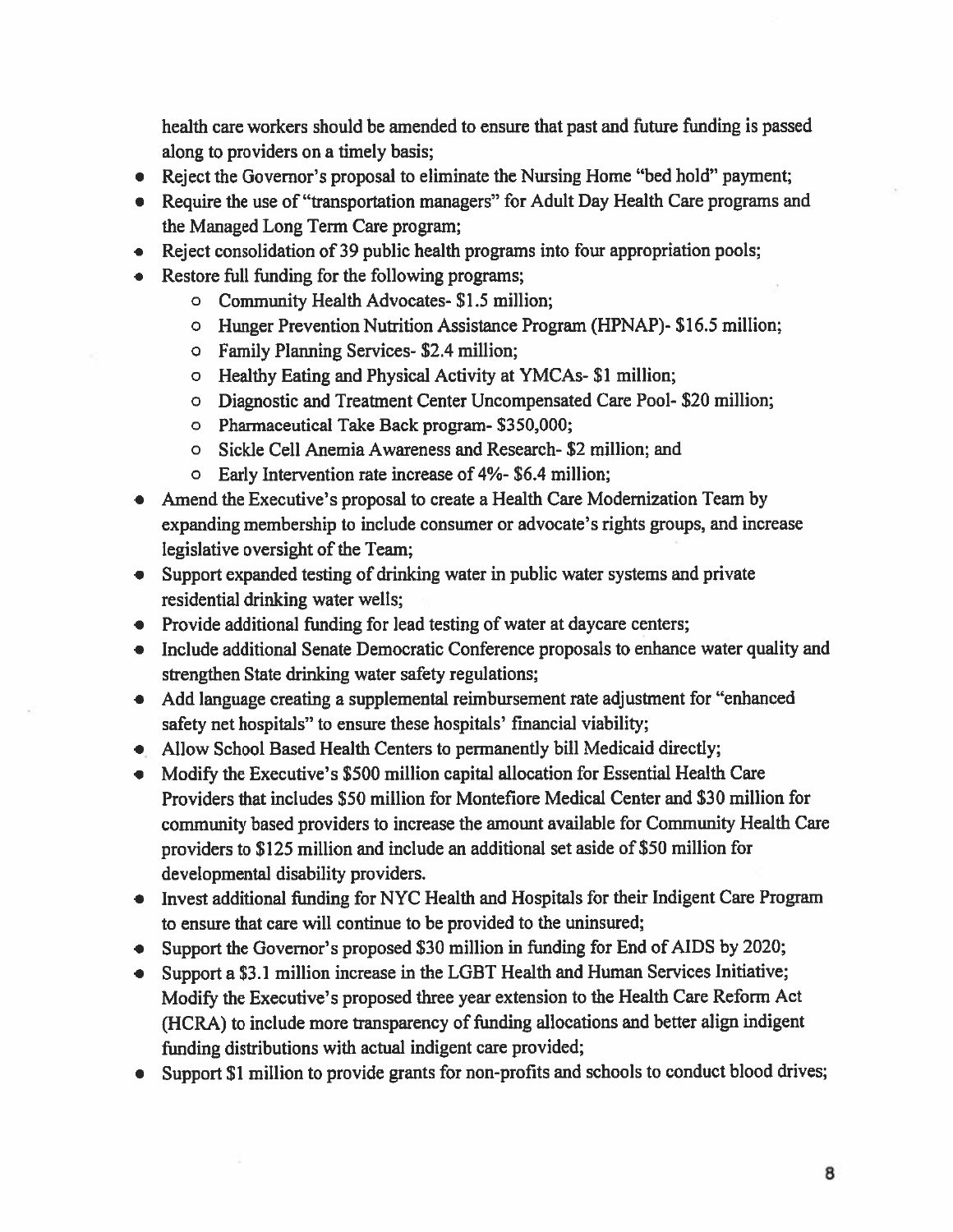health care workers should be amended to ensure that pas<sup>t</sup> and future fimding is passed along to providers on <sup>a</sup> timely basis;

- Reject the Governor's proposa<sup>l</sup> to eliminate the Nursing Home "bed hold" payment;
- Require the use of "transportation managers" for Adult Day Health Care programs and the Managed Long Term Care program;
- Reject consolidation of 39 public health programs into four appropriation pools;
- Restore full funding for the following programs;
	- <sup>o</sup> Community Health Advocates- \$1.5 million;
	- <sup>o</sup> Hunger Prevention Nutrition Assistance Program (HPNAP)- \$16.5 million;
	- <sup>o</sup> Family Planning Services- \$2.4 million;
	- <sup>o</sup> Healthy Eating and Physical Activity at YMCAs- SI million;
	- <sup>o</sup> Diagnostic and Treatment Center Uncompensated Care Pool- \$20 million;
	- <sup>o</sup> Pharmaceutical Take Back program- \$350,000;
	- <sup>o</sup> Sickle Cell Anemia Awareness and Research- \$2 million; and
	- <sup>o</sup> Early Intervention rate increase of 4%- \$6.4 million;
- • Amend the Executive's proposal to create <sup>a</sup> Health Care Modernization Team by expanding membership to include consumer or advocate's rights groups, and increase legislative oversight of the Team;
- Support expanded testing of drinking water in public water systems and private residential drinking water wells;
- Provide additional funding for lead testing of water at daycare centers;
- Include additional Senate Democratic Conference proposals to enhance water quality and strengthen State drinking water safety regulations;
- Add language creating <sup>a</sup> supplemental reimbursement rate adjustment for "enhanced safety net hospitals" to ensure these hospitals' financial viability;
- Allow School Based Health Centers to permanently bill Medicaid directly;
- Modify the Executive's \$500 million capital allocation for Essential Health Care Providers that includes \$50 million for Montefiore Medical Center and \$30 million for community based providers to increase the amount available for Community Health Care providers to \$125 million and include an additional set aside of \$50 million for developmental disability providers.
- Invest additional funding for NYC Health and Hospitals for their Indigent Care Program to ensure that care will continue to be provided to the uninsured;
- Support the Governor's propose<sup>d</sup> \$30 million in funding for End of AIDS by 2020;
- Support <sup>a</sup> \$3.1 million increase in the LGBT Health and Human Services Initiative; Modify the Executive's proposed three year extension to the Health Care Reform Act (HCRA) to include more transparency of funding allocations and better align indigent funding distributions with actual indigent care provided;
- Support \$1 million to provide grants for non-profits and schools to conduct blood drives;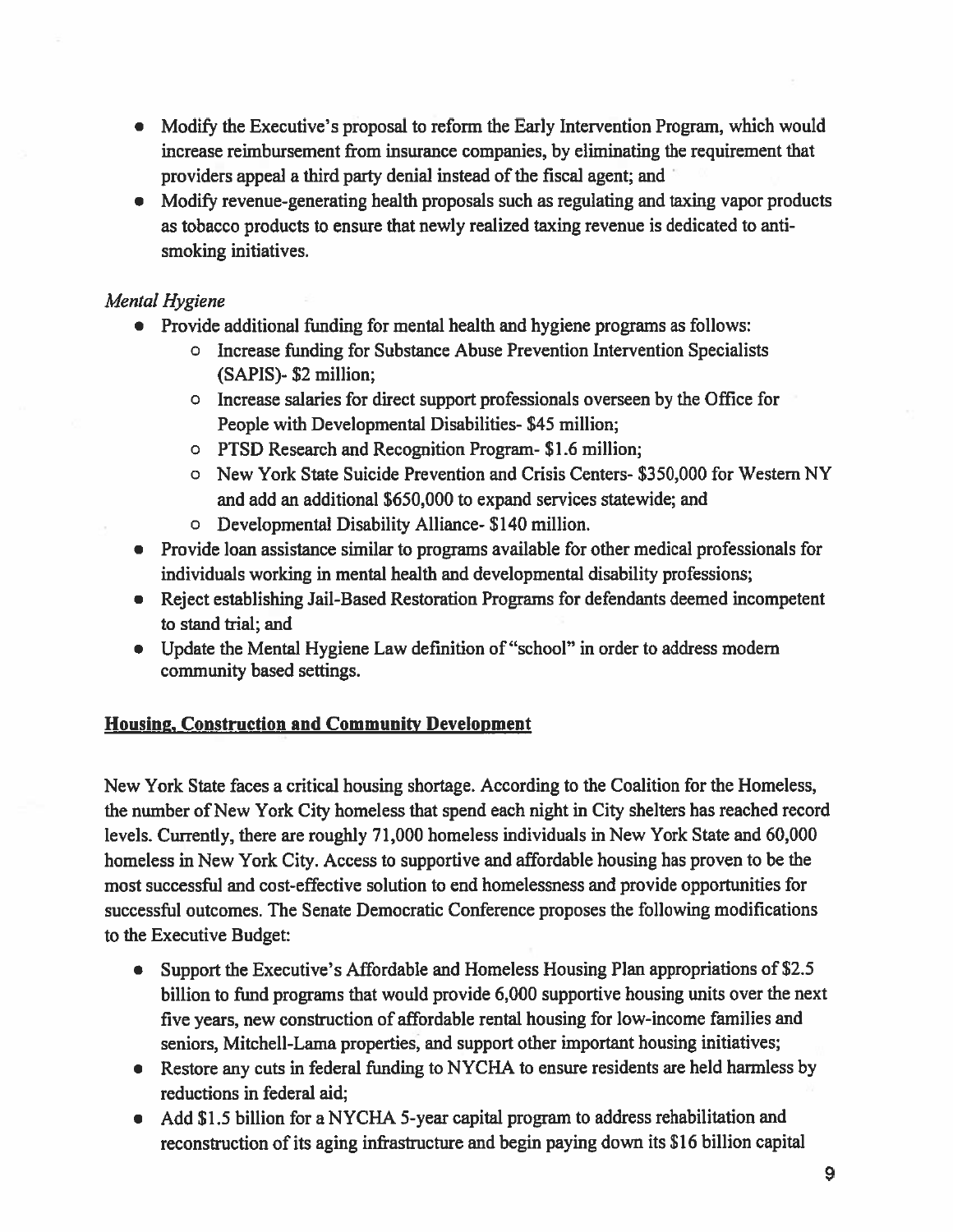- Modify the Executive's proposal to reform the Early Intervention Program, which would increase reimbursement from insurance companies, by eliminating the requirement that providers appeal a third party denial instead of the fiscal agent; and
- Modify revenue-generating health proposals such as regulating and taxing vapor products as tobacco products to ensure that newly realized taxing revenue is dedicated to antismoking initiatives.

## Mental Hygiene

- Provide additional funding for mental health and hygiene programs as follows
	- <sup>o</sup> Increase funding for Substance Abuse Prevention Intervention Specialists (SAPIS)- \$2 million;
	- <sup>o</sup> Increase salaries for direct suppor<sup>t</sup> professionals overseen by the Office for People with Developmental Disabilities- \$45 million;
	- <sup>o</sup> PTSD Research and Recognition Program- \$1.6 million;
	- <sup>o</sup> New York State Suicide Prevention and Crisis Centers- \$350,000 for Western NY and add an additional \$650,000 to expand services statewide; and
	- <sup>o</sup> Developmental Disability Alliance- \$140 million.
- Provide loan assistance similar to programs available for other medical professionals for individuals working in mental health and developmental disability professions;
- Reject establishing Jail-Based Restoration Programs for defendants deemed incompetent to stand trial; and
- Update the Mental Hygiene Law definition of "school" in order to address modem community based settings.

# Housing, Construction and Community Development

New York State faces <sup>a</sup> critical housing shortage. According to the Coalition for the Homeless, the number of New York City homeless that spend each night in City shelters has reached record levels. Currently, there are roughly 71,000 homeless individuals in New York State and 60,000 homeless in New York City. Access to supportive and affordable housing has proven to be the most successful and cost-effective solution to end homelessness and provide opportunities for successful outcomes. The Senate Democratic Conference proposes the following modifications to the Executive Budget:

- $\bullet$  Support the Executive's Affordable and Homeless Housing Plan appropriations of \$2.5 billion to fund programs that would provide 6,000 supportive housing units over the next five years, new construction of affordable rental housing for low-income families and seniors, Mitchell-Lama properties, and suppor<sup>t</sup> other important housing initiatives;
- Restore any cuts in federal funding to NYCHA to ensure residents are held harmless by reductions in federal aid;
- Add \$1.5 billion for <sup>a</sup> NYCHA 5-year capital program to address rehabilitation and reconstruction of its aging infrastructure and begin paying down its \$16 billion capital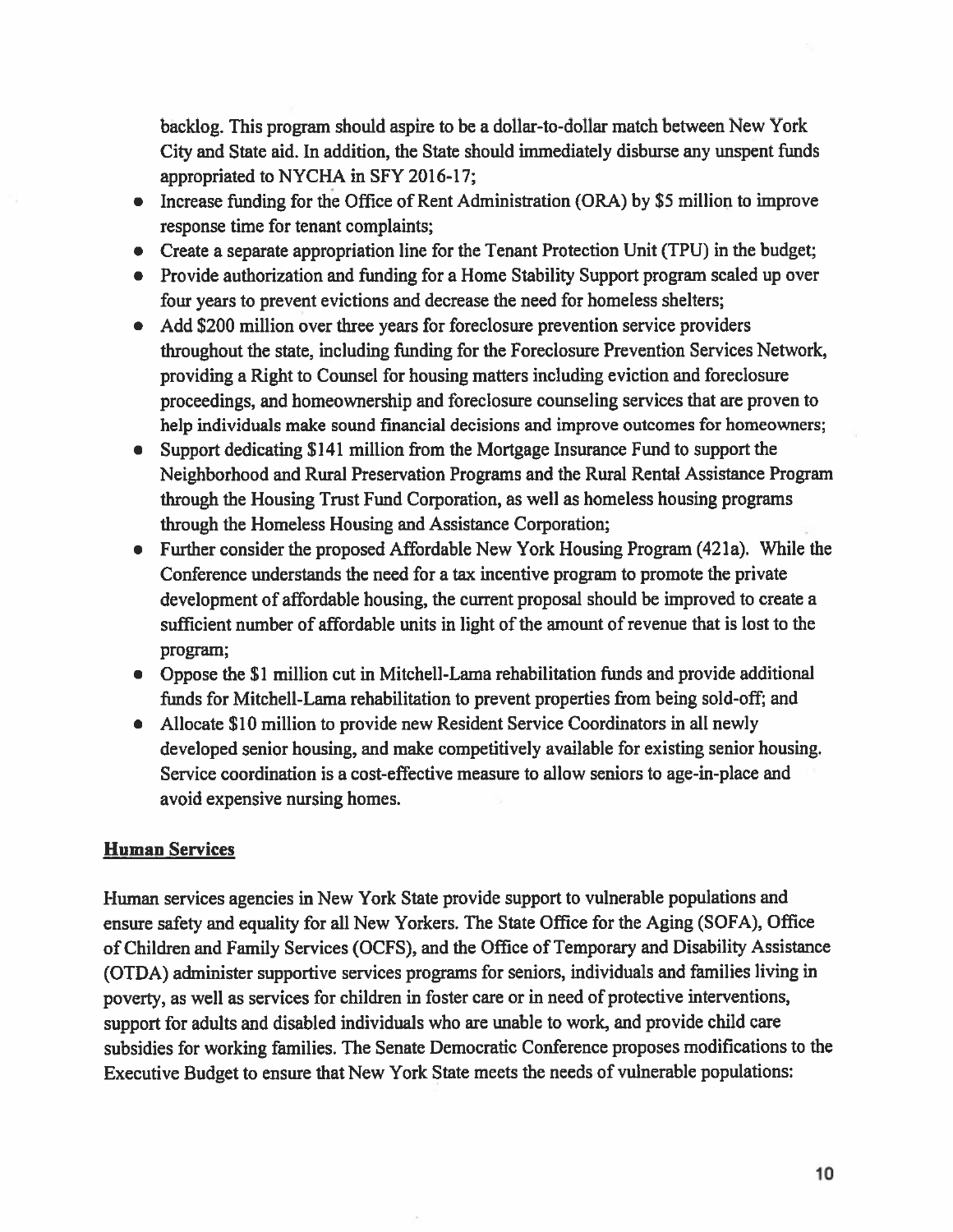backlog. This program should aspire to be <sup>a</sup> dollar-to-dollar match between New York City and State aid. In addition, the State should immediately disburse any unspen<sup>t</sup> funds appropriated to NYCHA in SFY 2016-17;

- Increase funding for the Office of Rent Administration (ORA) by \$5 million to improve response time for tenant complaints;
- Create a separate appropriation line for the Tenant Protection Unit (TPU) in the budget
- Provide authorization and funding for <sup>a</sup> Home Stability Support program scaled up over four years to preven<sup>t</sup> evictions and decrease the need for homeless shelters;
- Add \$200 million over three years for foreclosure prevention service providers throughout the state, including funding for the Foreclosure Prevention Services Network, providing <sup>a</sup> Right to Counsel for housing matters including eviction and foreclosure proceedings, and homeownership and foreclosure counseling services that are proven to help individuals make sound financial decisions and improve outcomes for homeowners;
- Support dedicating \$141 million from the Mortgage Insurance Fund to suppor<sup>t</sup> the Neighborhood and Rural Preservation Programs and the Rural Rental Assistance Program through the Housing Trust Fund Corporation, as well as homeless housing programs through the Homeless Housing and Assistance Corporation;
- Further consider the proposed Affordable New York Housing Program (42la). While the Conference understands the need for <sup>a</sup> tax incentive program to promote the private development of affordable housing, the current proposal should be improved to create <sup>a</sup> sufficient number of affordable units in light of the amount of revenue that is lost to the program;
- Oppose the \$1 million cut in Mitchell-Lama rehabilitation funds and provide additional funds for Mitchell-Lama rehabilitation to preven<sup>t</sup> properties from being sold-off; and
- Allocate \$10 million to provide new Resident Service Coordinators in all newly developed senior housing, and make competitively available for existing senior housing. Service coordination is <sup>a</sup> cost-effective measure to allow seniors to age-in-place and avoid expensive nursing homes.

### Human Services

Human services agencies in New York State provide suppor<sup>t</sup> to vulnerable populations and ensure safety and equality for all New Yorkers. The State Office for the Aging (SOFA), Office of Children and Family Services (OCFS), and the Office of Temporary and Disability Assistance (OTDA) administer supportive services programs for seniors, individuals and families living in poverty, as well as services for children in foster care or in need of protective interventions, suppor<sup>t</sup> for adults and disabled individuals who are unable to work, and provide child care subsidies for working families. The Senate Democratic Conference proposes modifications to the Executive Budget to ensure that New York State meets the needs of vulnerable populations: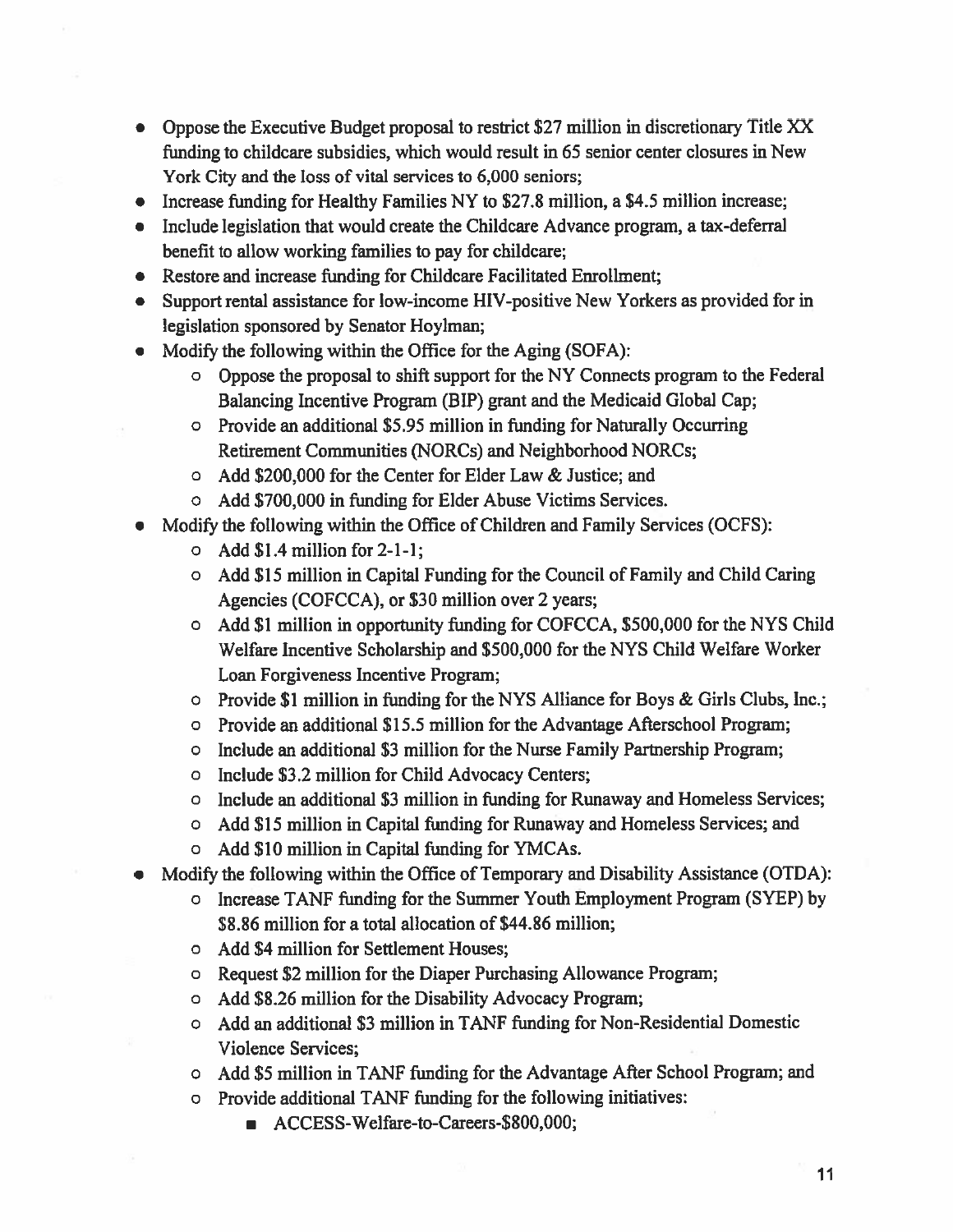- Oppose the Executive Budget proposal to restrict \$27 million in discretionary Title XX funding to childcare subsidies, which would result in 65 senior center closures in New York City and the loss of vital services to 6,000 seniors;
- Increase funding for Healthy Families NY to \$27.8 million, a \$4.5 million increase;
- Include legislation that would create the Childcare Advance program, <sup>a</sup> tax-deferral benefit to allow working families to pay for childcare;
- Restore and increase funding for Childcare Facilitated Enrollment;
- Support rental assistance for low-income HIV-positive New Yorkers as provided for in legislation sponsored by Senator Hoylman;
- • Modify the following within the Office for the Aging (SOFA):
	- <sup>o</sup> Oppose the proposal to shift suppor<sup>t</sup> for the NY Connects program to the Federal Balancing Incentive Program (BIP) gran<sup>t</sup> and the Medicaid Global Cap;
	- <sup>o</sup> Provide an additional \$5.95 million in funding for Naturally Occurring Retirement Communities (NORCs) and Neighborhood NORCs;
	- <sup>o</sup> Add \$200,000 for the Center for Elder Law & Justice; and
	- <sup>o</sup> Add \$700,000 in finding for Elder Abuse Victims Services.
- Modify the following within the Office of Children and Family Services (OCFS):
	- $\circ$  Add \$1.4 million for 2-1-1;
	- <sup>o</sup> Add \$15 million in Capital Funding for the Council of Family and Child Caring Agencies (COFCCA), or \$30 million over 2 years;
	- <sup>o</sup> Add \$1 million in opportunity funding for COFCCA, \$500,000 for the NYS Child Welfare Incentive Scholarship and \$500,000 for the NYS Child Welfare Worker Loan Forgiveness Incentive Program;
	- <sup>o</sup> Provide \$1 million in funding for the NYS Alliance for Boys & Girls Clubs, Inc.;
	- <sup>o</sup> Provide an additional \$15.5 million for the Advantage Afterschool Program;
	- <sup>o</sup> Include an additional \$3 million for the Nurse Family Partnership Program;
	- <sup>o</sup> Include \$3.2 million for Child Advocacy Centers;
	- <sup>o</sup> Include an additional \$3 million in funding for Runaway and Homeless Services;
	- <sup>o</sup> Add \$15 million in Capital funding for Runaway and Homeless Services; and
	- <sup>o</sup> Add \$10 million in Capital funding for YMCAs.
- Modify the following within the Office of Temporary and Disability Assistance (OTDA):
	- <sup>o</sup> Increase TANF funding for the Summer Youth Employment Program (SYEP) by \$8.86 million for <sup>a</sup> total allocation of \$44.86 million;
	- <sup>o</sup> Add \$4 million for Settlement Houses;
	- <sup>o</sup> Request \$2 million for the Diaper Purchasing Allowance Program;
	- <sup>o</sup> Add \$8.26 million for the Disability Advocacy Program;
	- <sup>o</sup> Add an additional \$3 million in TANF funding for Non-Residential Domestic Violence Services;
	- <sup>o</sup> Add \$5 million in TANF funding for the Advantage After School Program; and
	- <sup>o</sup> Provide additional TANF funding for the following initiatives:
		- ACCESS-Welfare-to-Careers-\$800,000;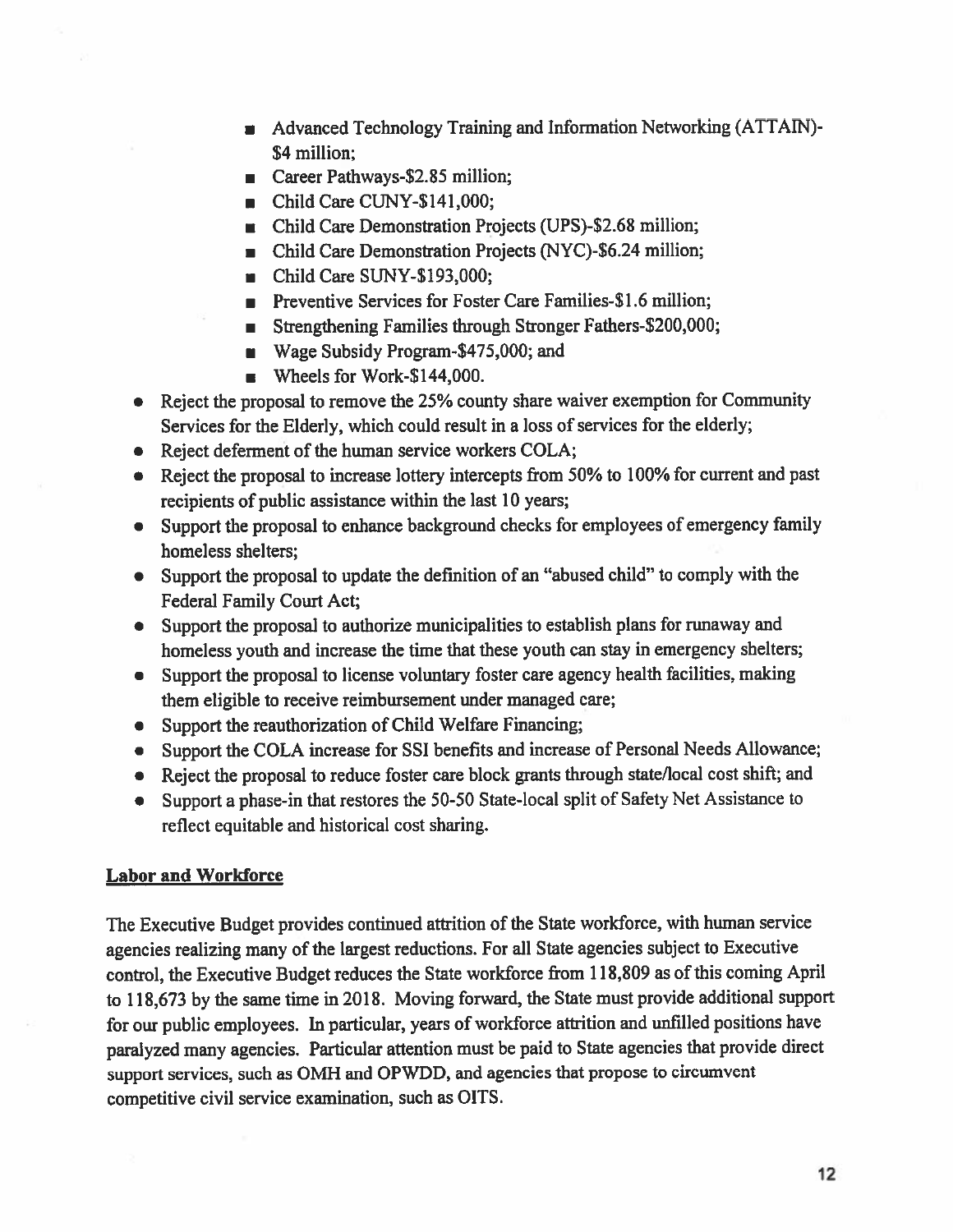- Advanced Technology Training and Information Networking (ATTAIN) 54 million;
- Career Pathways-52.85 million;
- Child Care CUNY-S 141,000;
- Child Care Demonstration Projects (UPS)-\$2.68 million;
- Child Care Demonstration Projects (NYC)-\$6.24 million;
- Child Care SUNY-\$193,000;
- Preventive Services for Foster Care Families-\$1.6 million;
- Strengthening Families through Stronger Fathers-\$200,000;
- Wage Subsidy Program-\$475,000; and
- Wheels for Work-S 144,000.
- Reject the proposal to remove the 25% county share waiver exemption for Community Services for the Elderly, which could result in <sup>a</sup> loss of services for the elderly;
- Reject deferment of the human service workers COLA;
- Reject the proposal to increase lottery intercepts from 50% to 100% for current and past recipients of public assistance within the last 10 years;
- Support the proposa<sup>l</sup> to enhance background checks for employees of emergency family homeless shelters;
- Support the proposa<sup>l</sup> to update the definition of an "abused child" to comply with the Federal Family Court Act;
- Support the proposa<sup>l</sup> to authorize municipalities to establish <sup>p</sup>lans for runaway and homeless youth and increase the time that these youth can stay in emergency shelters;
- Support the proposa<sup>l</sup> to license voluntary foster care agency health facilities, making them eligible to receive reimbursement under managed care;
- Support the reauthorization of Child Welfare Financing;
- Support the COLA increase for SSI benefits and increase of Personal Needs Allowance;
- Reject the proposal to reduce foster care block grants through state/local cost shift; and
- Support a phase-in that restores the 50-50 State-local split of Safety Net Assistance to reflect equitable and historical cost sharing.

#### Labor and Workforce

The Executive Budget provides continued attrition of the State workforce, with human service agencies realizing many of the largest reductions. For all State agencies subject to Executive control, the Executive Budget reduces the State workforce from 118,809 as of this coming April to 118,673 by the same time in 2018. Moving forward, the State must provide additional suppor<sup>t</sup> for our public employees. In particular, years of workforce attrition and unfilled positions have paralyzed many agencies. Particular attention must be paid to State agencies that provide direct suppor<sup>t</sup> services, such as OMH and OPWDD, and agencies that propose to circumvent competitive civil service examination, such as OITS.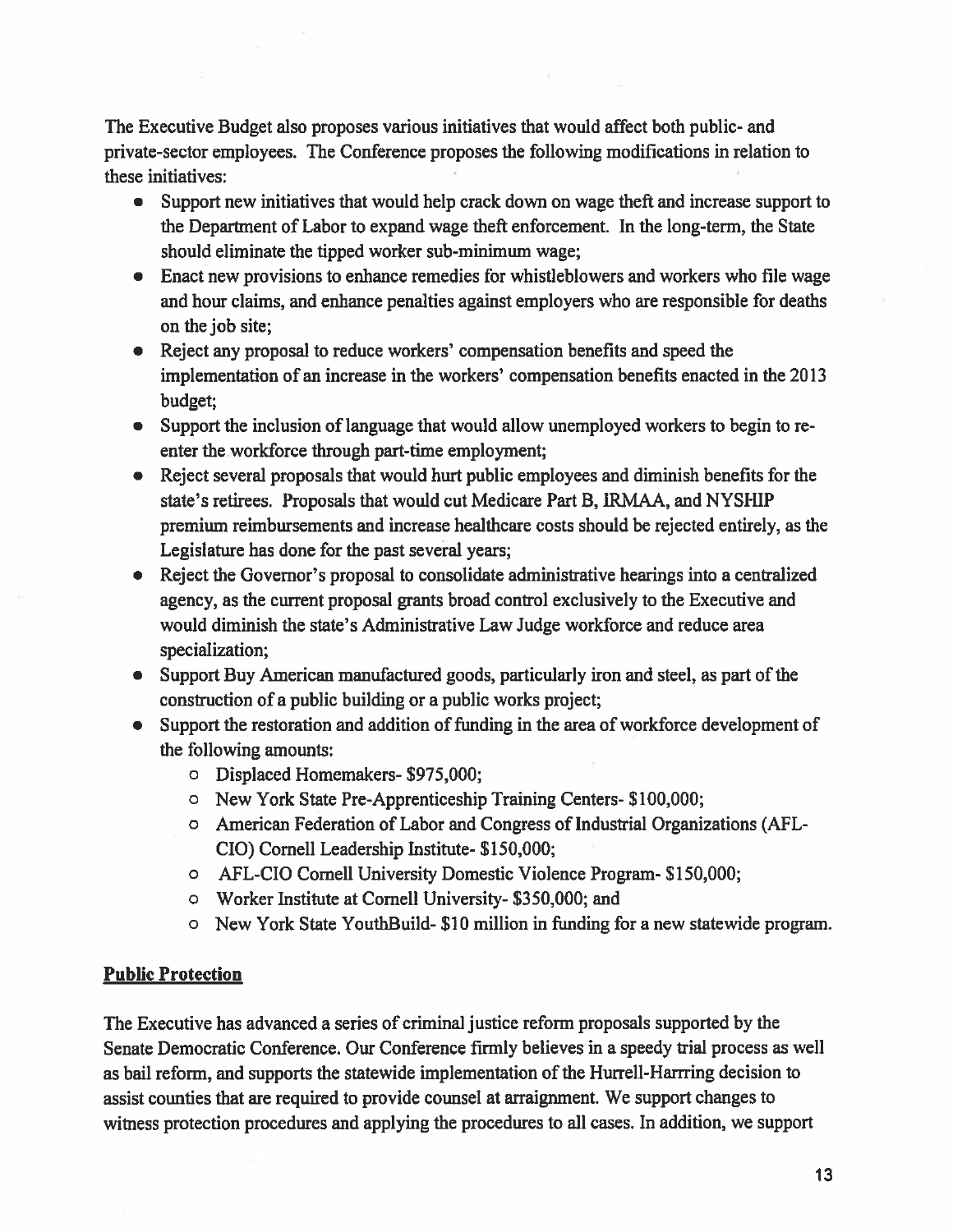The Executive Budget also proposes various initiatives that would affect both public- and private-sector employees. The Conference proposes the following modifications in relation to these initiatives:

- $\bullet$  Support new initiatives that would help crack down on wage theft and increase suppor<sup>t</sup> to the Departnent of Labor to expand wage theft enforcement. In the long-term, the State should eliminate the tipped worker sub-minimum wage;
- Enact new provisions to enhance remedies for whistleblowers and workers who file wage and hour claims, and enhance penalties against employers who are responsible for deaths on the job site;
- Reject any proposal to reduce workers' compensation benefits and speed the implementation of an increase in the workers' compensation benefits enacted in the 2013 budget;
- Support the inclusion of language that would allow unemployed workers to begin to re enter the workforce through part-time employment;
- Reject several proposals that would hurt public employees and diminish benefits for the state's retirees. Proposals that would cut Medicare Part B, IRMAA, and NYSHIP premium reimbursements and increase healthcare costs should be rejected entirely, as the Legislature has done for the pas<sup>t</sup> several years;
- Reject the Governor's proposal to consolidate administrative hearings into <sup>a</sup> centralized agency, as the current proposal grants broad control exclusively to the Executive and would diminish the state's Administrative Law Judge workforce and reduce area specialization;
- Support Buy American manufactured goods, particularly iron and steel, as par<sup>t</sup> of the construction of <sup>a</sup> public building or <sup>a</sup> public works project;
- Support the restoration and addition of fimding in the area of workforce development of the following amounts:
	- <sup>o</sup> Displaced Homemakers- \$975,000;
	- <sup>o</sup> New York State Pre-Apprenticeship Training Centers- \$100,000;
	- <sup>o</sup> American Federation of Labor and Congress of Industrial Organizations (AFL CIO) Cornell Leadership Institute- \$150,000;
	- <sup>o</sup> AFL-CIO Cornell University Domestic Violence Program- \$150,000;
	- <sup>o</sup> Worker Institute at Cornell University- \$350,000; and
	- <sup>o</sup> New York State YouthBuild- \$10 million in fimding for <sup>a</sup> new statewide program.

#### Public Protection

The Executive has advanced <sup>a</sup> series of criminal justice reform proposals supported by the Senate Democratic Conference. Our Conference firmly believes in <sup>a</sup> speedy trial process as well as bail reform, and supports the statewide implementation of the Hurrell-Harrring decision to assist counties that are required to provide counsel at arraignment. We suppor<sup>t</sup> changes to witness protection procedures and applying the procedures to all cases. In addition, we suppor<sup>t</sup>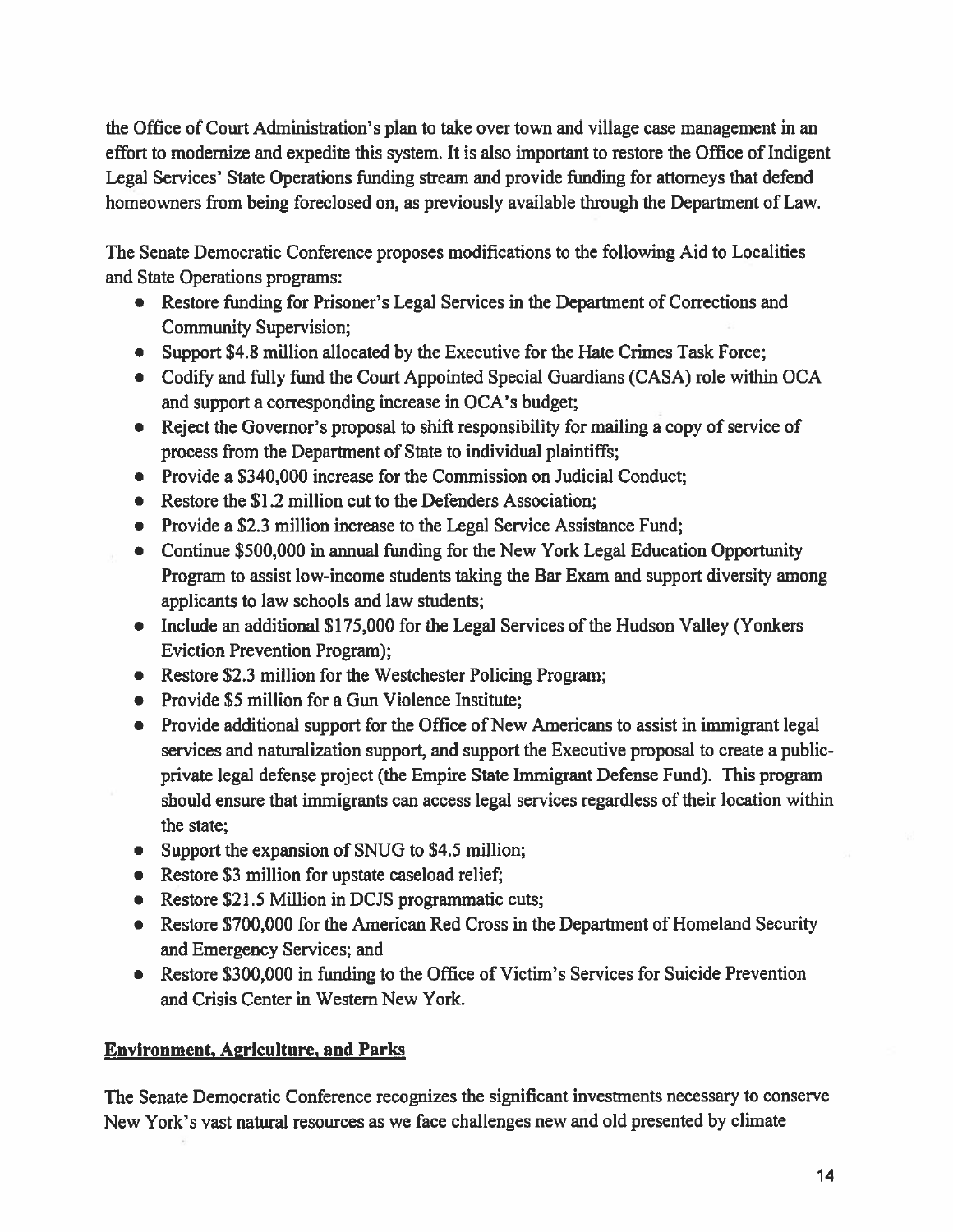the Office of Court Administration's plan to take over town and village case managemen<sup>t</sup> in an effort to modernize and expedite this system. It is also important to restore the Office of Indigent Legal Services' State Operations funding stream and provide funding for attorneys that defend homeowners from being foreclosed on, as previously available through the Department of Law.

The Senate Democratic Conference proposes modifications to the following Aid to Localities and State Operations programs:

- Restore funding for Prisoner's Legal Services in the Department of Corrections and Community Supervision;
- Support \$4.8 million allocated by the Executive for the Hate Crimes Task Force;
- Codify and fully fund the Court Appointed Special Guardians (CASA) role within OCA and suppor<sup>t</sup> <sup>a</sup> corresponding increase in OCA's budget;
- Reject the Governor's proposal to shift responsibility for mailing a copy of service of process from the Department of State to individual plaintiffs;
- Provide <sup>a</sup> \$340,000 increase for the Commission on Judicial Conduct;
- Restore the \$1.2 million cut to the Defenders Association;
- Provide a \$2.3 million increase to the Legal Service Assistance Fund;
- Continue \$500,000 in annual funding for the New York Legal Education Opportunity Program to assist low-income students taking the Bar Exam and suppor<sup>t</sup> diversity among applicants to law schools and law students;
- Include an additional \$175,000 for the Legal Services of the Hudson Valley (Yonkers Eviction Prevention Program);
- Restore \$2.3 million for the Westchester Policing Program;
- Provide \$5 million for a Gun Violence Institute;
- Provide additional suppor<sup>t</sup> for the Office of New Americans to assist in immigrant legal services and naturalization support, and suppor<sup>t</sup> the Executive proposal to create <sup>a</sup> publicprivate legal defense project (the Empire State Immigrant Defense Fund). This program should ensure that immigrants can access legal services regardless of their location within the state;
- Support the expansion of SNUG to \$4.5 million;
- Restore \$3 million for upstate caseload relief;
- Restore \$21.5 Million in DCJS programmatic cuts;
- Restore \$700,000 for the American Red Cross in the Department of Homeland Security and Emergency Services; and
- Restore \$300,000 in funding to the Office of Victim's Services for Suicide Prevention and Crisis Center in Western New York.

# Environment, Apriculturc, and Parks

The Senate Democratic Conference recognizes the significant investments necessary to conserve New York's vast natural resources as we face challenges new and old presented by climate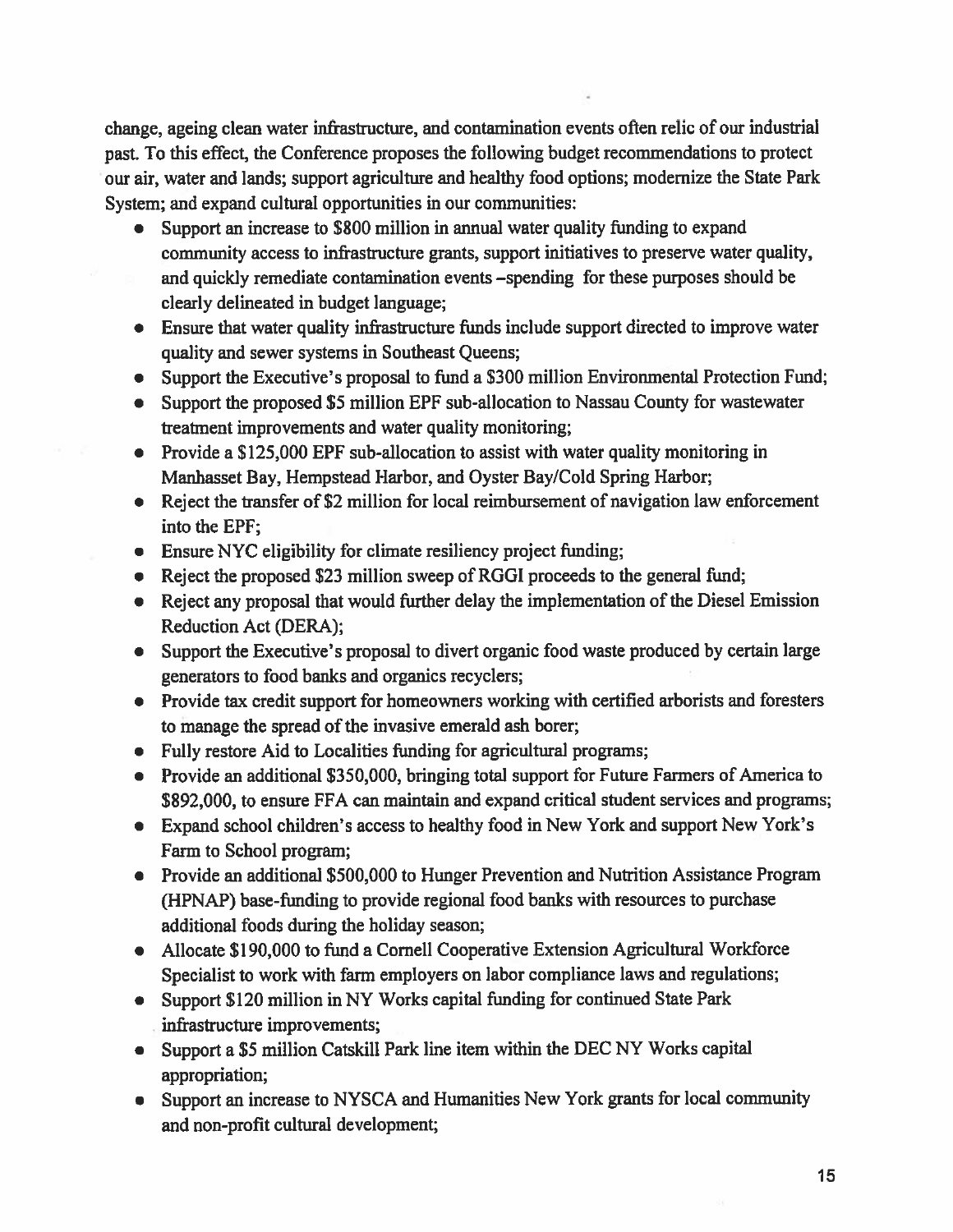change, ageing clean water infrastructure, and contamination events often relic of our industrial past. To this effect, the Conference proposes the following budget recommendations to protect our air, water and lands; suppor<sup>t</sup> agriculture and healthy food options; modernize the State Park System; and expand cultural opportunities in our communities:

- •Support an increase to \$800 million in annual water quality funding to expand community access to infrastructure grants, suppor<sup>t</sup> initiatives to preserve water quality, and quickly remediate contamination events —spending for these purposes should be clearly delineated in budget language;
- Ensure that water quality infrastructure fimds include suppor<sup>t</sup> directed to improve water quality and sewer systems in Southeast Queens;
- Support the Executive's proposa<sup>l</sup> to fund <sup>a</sup> \$300 million Environmental Protection Fund;
- Support the proposed \$5 million EPF sub-allocation to Nassau County for wastewater treatment improvements and water quality monitoring;
- Provide a \$125,000 EPF sub-allocation to assist with water quality monitoring in Manhasset Bay, Hempstead Harbor, and Oyster Bay/Cold Spring Harbor;
- Reject the transfer of \$2 million for local reimbursement of navigation law enforcement into the EPF;
- Ensure NYC eligibility for climate resiliency project funding;
- Reject the proposed \$23 million sweep of RGGI proceeds to the general fund;
- Reject any proposal that would further delay the implementation of the Diesel Emission Reduction Act (DERA);
- Support the Executive's proposa<sup>l</sup> to divert organic food waste produced by certain large generators to food banlcs and organics recyclers;
- Provide tax credit suppor<sup>t</sup> for homeowners working with certified arborists and foresters to manage the spread of the invasive emerald ash borer;
- Fully restore Aid to Localities funding for agricultural programs;
- Provide an additional \$350,000, bringing total suppor<sup>t</sup> for Future Farmers of America to \$892,000, to ensure FFA can maintain and expand critical student services and programs;
- Expand school children's access to healthy food in New York and suppor<sup>t</sup> New York's Farm to School program;
- Provide an additional \$500,000 to Hunger Prevention and Nutrition Assistance Program (HPNAP) base-funding to provide regional food banks with resources to purchase additional foods during the holiday season;
- Allocate \$190,000 to fund <sup>a</sup> Cornell Cooperative Extension Agricultural Workforce Specialist to work with farm employers on labor compliance laws and regulations;
- Support \$120 million in NY Works capital funding for continued State Park infrastructure improvements;
- Support <sup>a</sup> \$5 million Catskill Park line item within the DEC NY Works capital appropriation;
- Support an increase to NYSCA and Humanities New York grants for local community and non-profit cultural development;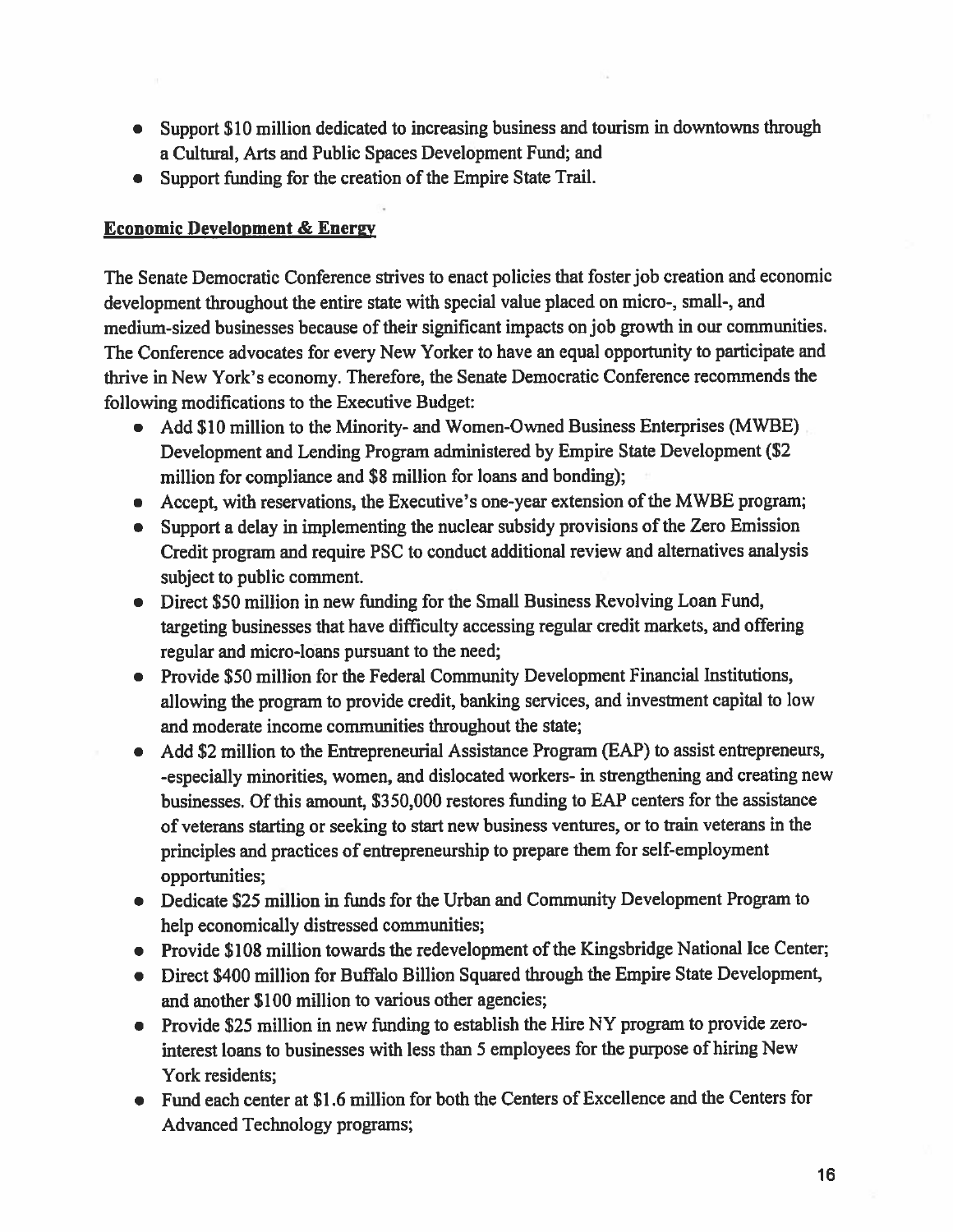- Support \$10 million dedicated to increasing business and tourism in downtowns through <sup>a</sup> Cultural, Arts and Public Spaces Development Fund; and
- Support funding for the creation of the Empire State Trail.

## **Economic Development & Energy**

The Senate Democratic Conference strives to enact policies that foster job creation and economic development throughout the entire state with special value <sup>p</sup>laced on micro-, small-, and medium-sized businesses because of their significant impacts on job growth in our communities. The Conference advocates for every New Yorker to have an equal opportunity to participate and thrive in New York's economy. Therefore, the Senate Democratic Conference recommends the following modifications to the Executive Budget:

- Add \$10 million to the Minority- and Women-Owned Business Enterprises (MWBE) Development and Lending Program administered by Empire State Development (\$2 million for compliance and \$8 million for loans and bonding);
- Accept, with reservations, the Executive's one-year extension of the MWBE program;
- Support <sup>a</sup> delay in implementing the nuclear subsidy provisions of the Zero Emission Credit program and require PSC to conduct additional review and alternatives analysis subject to public comment.
- Direct \$50 million in new funding for the Small Business Revolving Loan Fund, targeting businesses that have difficulty accessing regular credit markets, and offering regular and micro-loans pursuan<sup>t</sup> to the need;
- Provide \$50 million for the Federal Community Development Financial Institutions, allowing the program to provide credit, banking services, and investment capital to low and moderate income communities throughout the state;
- Add \$2 million to the Entrepreneurial Assistance Program (EAP) to assist entrepreneurs, -especially minorities, women, and dislocated workers- in strengthening and creating new businesses. Of this amount, \$350,000 restores funding to EAP centers for the assistance of veterans starting or seeking to start new business ventures, or to train veterans in the principles and practices of entrepreneurship to prepare them for self-employment opportunities;
- Dedicate \$25 million in funds for the Urban and Community Development Program to help economically distressed communities;
- Provide \$108 million towards the redevelopment of the Kingsbridge National Ice Center;
- Direct \$400 million for Buffalo Billion Squared through the Empire State Development, and another \$100 million to various other agencies;
- Provide \$25 million in new funding to establish the Hire NY program to provide zerointerest loans to businesses with less than 5 employees for the purpose of hiring New York residents;
- Fund each center at \$1.6 million for both the Centers of Excellence and the Centers for Advanced Technology programs;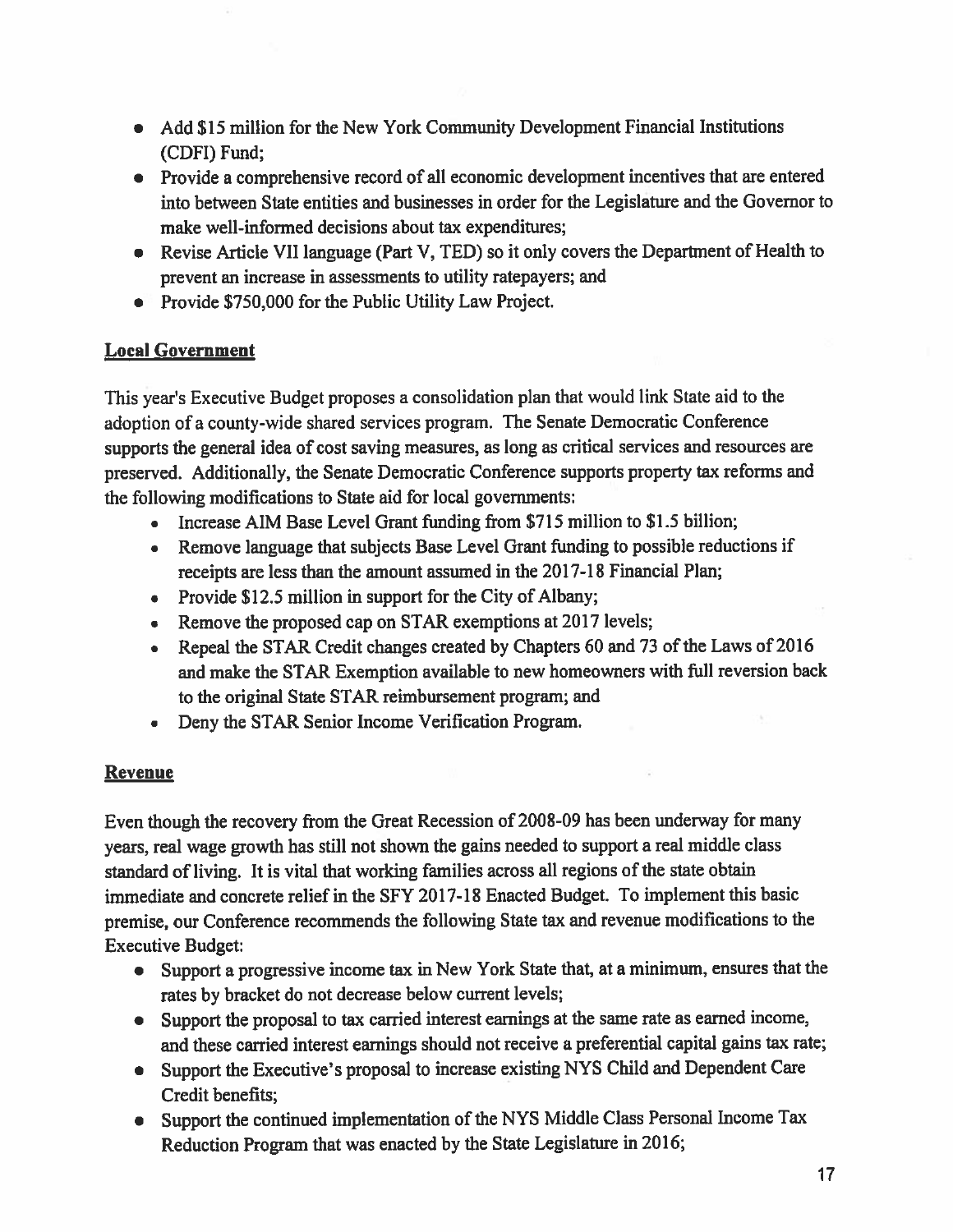- Add \$15 million for the New York Community Development Financial Institutions (CDFI) Fund;
- Provide a comprehensive record of all economic development incentives that are entered into between State entities and businesses in order for the Legislature and the Governor to make well-informed decisions about tax expenditures;
- Revise Article VII language (Part V, TED) so it only covers the Department of Health to preven<sup>t</sup> an increase in assessments to utility ratepayers; and
- Provide \$750,000 for the Public Utility Law Project.

# Local Government

This year's Executive Budget proposes <sup>a</sup> consolidation <sup>p</sup>lan that would link State aid to the adoption of <sup>a</sup> county-wide shared services program. The Senate Democratic Conference supports the genera<sup>l</sup> idea of cost saving measures, as long as critical services and resources are preserved. Additionally, the Senate Democratic Conference supports property tax reforms and the following modifications to State aid for local governments:

- Increase AIM Base Level Grant funding from \$715 million to \$1.5 billion;
- Remove language that subjects Base Level Grant funding to possible reductions if receipts are less than the amount assumed in the 2017-18 Financial Plan;
- Provide \$12.5 million in suppor<sup>t</sup> for the City of Albany;
- Remove the proposed cap on STAR exemptions at 2017 levels;
- • Repeal the STAR Credit changes created by Chapters <sup>60</sup> and <sup>73</sup> of the Laws of <sup>2016</sup> and make the STAR Exemption available to new homeowners with fill reversion back to the original State STAR reimbursement program; and
- •Deny the STAR Senior Income Verification Program.

# Revenue

Even though the recovery from the Great Recession of 2008-09 has been underway for many years, real wage growth has still not shown the gains needed to suppor<sup>t</sup> <sup>a</sup> real middle class standard of living. It is vital that working families across all regions of the state obtain immediate and concrete relief in the SFY 2017-18 Enacted Budget. To implement this basic premise, our Conference recommends the following State tax and revenue modifications to the Executive Budget:

- Support <sup>a</sup> progressive income tax in New York State that, at <sup>a</sup> minimum, ensures that the rates by bracket do not decrease below current levels;
- Support the proposa<sup>l</sup> to tax carried interest earnings at the same rate as earned income, and these carried interest earnings should not receive <sup>a</sup> preferential capital gains tax rate;
- Support the Executive's proposa<sup>l</sup> to increase existing NYS Child and Dependent Care Credit benefits;
- Support the continued implementation of the NYS Middle Class Personal Income Tax Reduction Program that was enacted by the State Legislature in 2016;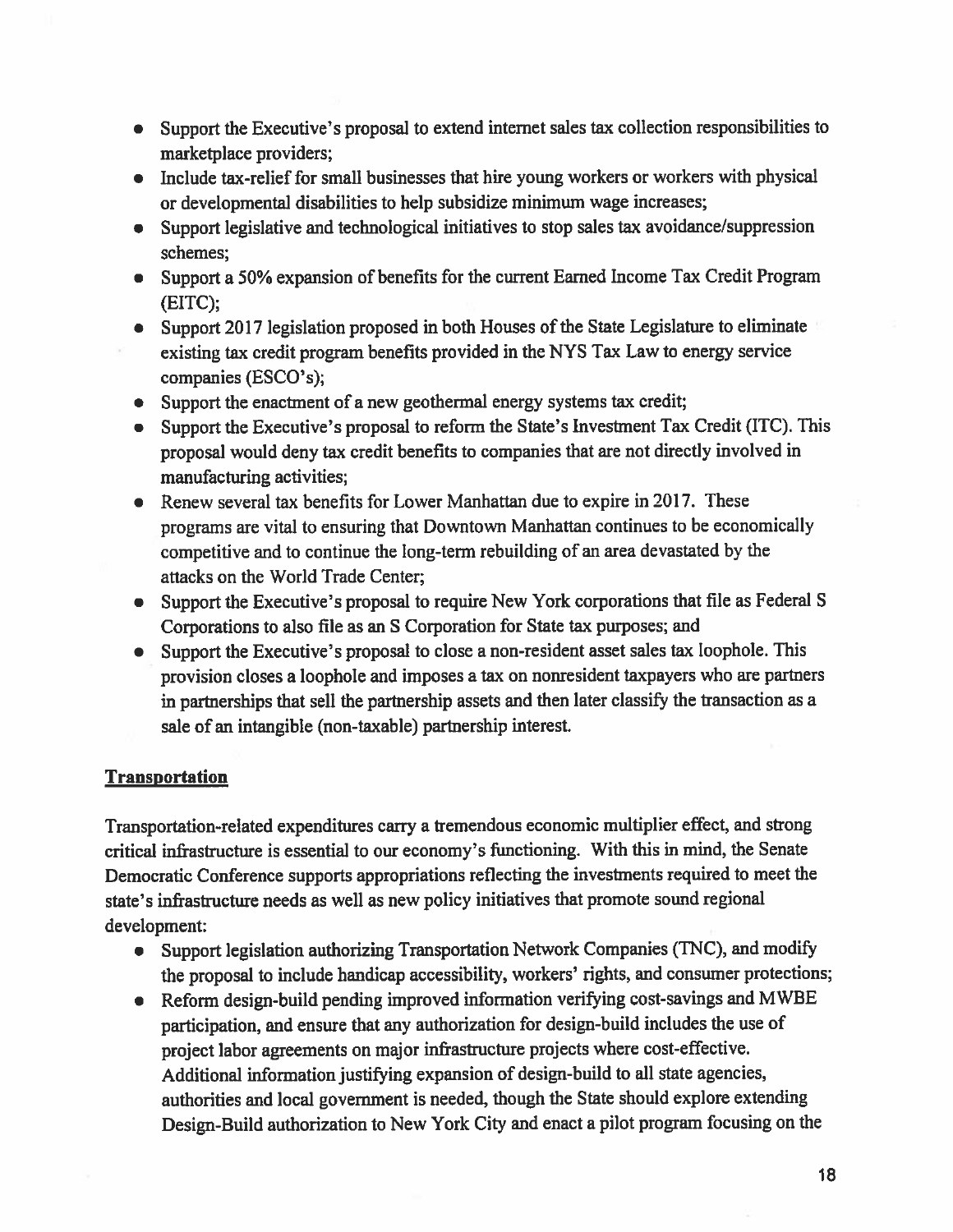- Support the Executive's proposa<sup>l</sup> to extend internet sales tax collection responsibilities to marketplace providers;
- Include tax-relief for small businesses that hire young workers or workers with physical or developmental disabilities to help subsidize minimum wage increases;
- Support legislative and technological initiatives to stop sales tax avoidance/suppression schemes;
- Support <sup>a</sup> 50% expansion of benefits for the current Earned Income Tax Credit Program (EITC);
- Support <sup>2017</sup> legislation propose<sup>d</sup> in both Houses of the State Legislature to eliminate existing tax credit program benefits provided in the NYS Tax Law to energy service companies (ESCO's);
- Support the enactment of a new geothermal energy systems tax credit;
- Support the Executive's proposal to reform the State's Investment Tax Credit (ITC). This proposa<sup>l</sup> would deny tax credit benefits to companies that are not directly involved in manufacturing activities;
- Renew several tax benefits for Lower Manhattan due to expire in 2017. These programs are vital to ensuring that Downtown Manhattan continues to be economically competitive and to continue the long-term rebuilding of an area devastated by the attacks on the World Trade Center;
- Support the Executive's proposa<sup>l</sup> to require New York corporations that file as Federal <sup>S</sup> Corporations to also file as an S Corporation for State tax purposes; and
- Support the Executive's proposal to close a non-resident asset sales tax loophole. This provision closes <sup>a</sup> loophole and imposes <sup>a</sup> tax on nonresident taxpayers who are partners in partnerships that sell the partnership assets and then later classify the transaction as <sup>a</sup> sale of an intangible (non-taxable) partnership interest.

# **Transportation**

Transportation-related expenditures carry <sup>a</sup> tremendous economic multiplier effect, and strong critical infrastructure is essential to our economy's flmctioning. With this in mind, the Senate Democratic Conference supports appropriations reflecting the investments required to meet the state's infrastructure needs as well as new policy initiatives that promote sound regional development:

- Support legislation authorizing Transportation Network Companies (TNC), and modify the proposa<sup>l</sup> to include handicap accessibility, workers' rights, and consumer protections;
- Reform design-build pending improved information verifying cost-savings and MWBE participation, and ensure that any authorization for design-build includes the use of project labor agreements on major infrastructure projects where cost-effective. Additional information justifying expansion of design-build to all state agencies, authorities and local governmen<sup>t</sup> is needed, though the State should explore extending Design-Build authorization to New York City and enact <sup>a</sup> <sup>p</sup>ilot program focusing on the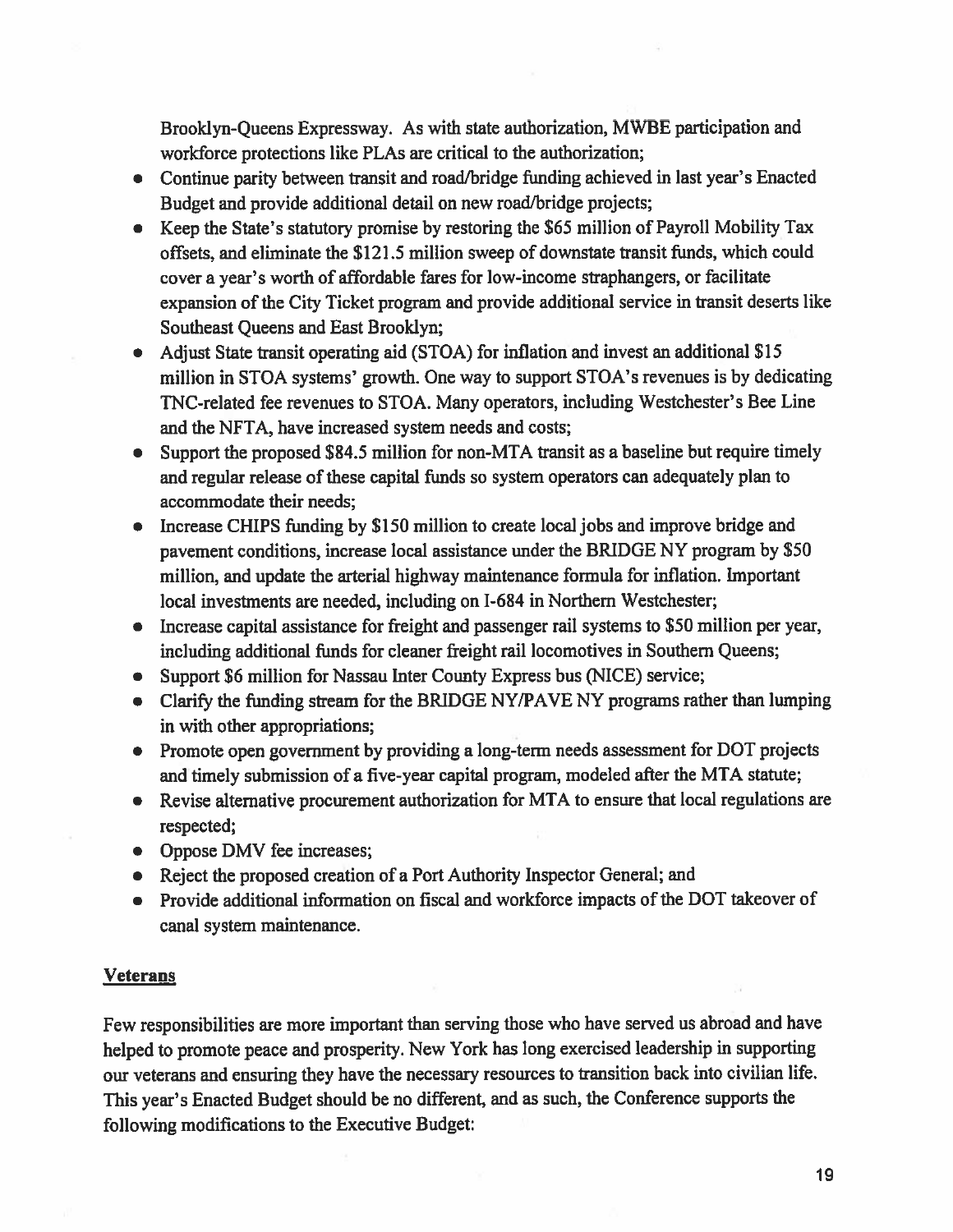Brooklyn-Queens Expressway. As with state authorization, MWBE participation and workforce protections like PLAs are critical to the authorization;

- Continue parity between transit and road/bridge funding achieved in last year's Enacted Budget and provide additional detail on new road/bridge projects;
- Keep the State's statutory promise by restoring the S65 million of Payroll Mobility Tax offsets, and eliminate the \$121.5 million sweep of downstate transit funds, which could cover <sup>a</sup> year's worth of affordable fares for low-income staphangers, or facilitate expansion of the City Ticket program and provide additional service in transit deserts like Southeast Queens and East Brooklyn;
- Adjust State transit operating aid (STOA) for inflation and invest an additional \$15 million in STOA systems' growth. One way to suppor<sup>t</sup> STOA's revenues is by dedicating TNC-related fee revenues to STOA. Many operators, including Westchester's Bee Line and the NFTA, have increased system needs and costs;
- Support the propose<sup>d</sup> \$84.5 million for non-MTA transit as <sup>a</sup> baseline but require timely and regular release of these capital funds so system operators can adequately <sup>p</sup>lan to accommodate their needs;
- Increase CHIPS funding by \$150 million to create local jobs and improve bridge and pavemen<sup>t</sup> conditions, increase local assistance under the BRIDGE NY program by \$50 million, and update the arterial highway maintenance formula for inflation. Important local investments are needed, including on 1-684 in Northern Westchester;
- Increase capital assistance for freight and passenger rail systems to \$50 million per year, including additional funds for cleaner freight rail locomotives in Southern Queens;
- Support \$6 million for Nassau Inter County Express bus (NICE) service;
- Clarify the funding stream for the BRIDGE NY/PAVE NY programs rather than lumping in with other appropriations;
- Promote open government by providing a long-term needs assessment for DOT projects and timely submission of <sup>a</sup> five-year capital program, modeled after the MTA statute;
- Revise alternative procurement authorization for MTA to ensure that local regulations are respected;
- Oppose DMV fee increases;
- Reject the propose<sup>d</sup> creation of <sup>a</sup> Port Authority Inspector General; and
- Provide additional information on fiscal and workforce impacts of the DOT takeover of canal system maintenance.

#### **Veterans**

Few responsibilities are more important than serving those who have served us abroad and have helped to promote peace and prosperity. New York has long exercised leadership in supporting our veterans and ensuring they have the necessary resources to transition back into civilian life. This year's Enacted Budget should be no different, and as such, the Conference supports the following modifications to the Executive Budget: